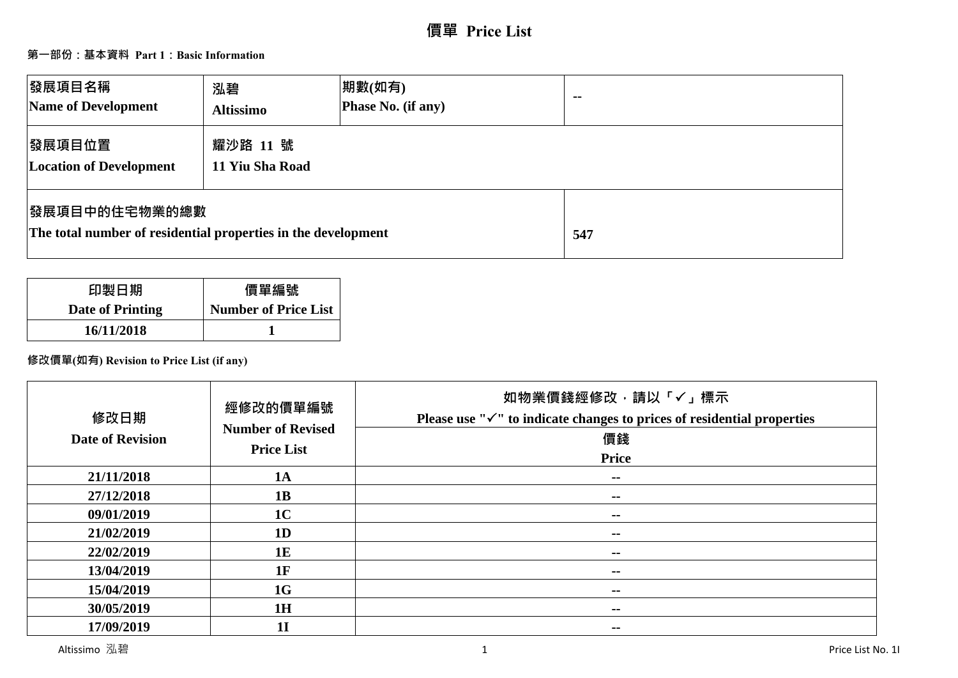# **第一部份:基本資料 Part 1:Basic Information**

| <b> 發展項目名稱</b><br>Name of Development                                                  | 泓碧<br><b>Altissimo</b>      | 期數(如有)<br>Phase No. (if any) | $\sim$ $\sim$ |
|----------------------------------------------------------------------------------------|-----------------------------|------------------------------|---------------|
| 發展項目位置<br><b>Location of Development</b>                                               | 耀沙路 11 號<br>11 Yiu Sha Road |                              |               |
| <b> 發展項目中的住宅物業的總數</b><br>The total number of residential properties in the development |                             |                              | 547           |

| 印製日期             | 價單編號                        |
|------------------|-----------------------------|
| Date of Printing | <b>Number of Price List</b> |
| 16/11/2018       |                             |

**修改價單(如有) Revision to Price List (if any)**

| 修改日期<br><b>Date of Revision</b> | 經修改的價單編號<br><b>Number of Revised</b><br><b>Price List</b> | 如物業價錢經修改,請以「√」標示<br>Please use " $\checkmark$ " to indicate changes to prices of residential properties<br>價錢<br><b>Price</b> |
|---------------------------------|-----------------------------------------------------------|-------------------------------------------------------------------------------------------------------------------------------|
| 21/11/2018                      | 1A                                                        | $\sim$                                                                                                                        |
| 27/12/2018                      | 1B                                                        | $\sim$ $\sim$                                                                                                                 |
| 09/01/2019                      | 1 <sub>C</sub>                                            | $\sim$ $\sim$                                                                                                                 |
| 21/02/2019                      | 1D                                                        | --                                                                                                                            |
| 22/02/2019                      | 1E                                                        | --                                                                                                                            |
| 13/04/2019                      | 1F                                                        | --                                                                                                                            |
| 15/04/2019                      | 1G                                                        | --                                                                                                                            |
| 30/05/2019                      | 1H                                                        | $- -$                                                                                                                         |
| 17/09/2019                      | 1 <sub>I</sub>                                            | $- -$                                                                                                                         |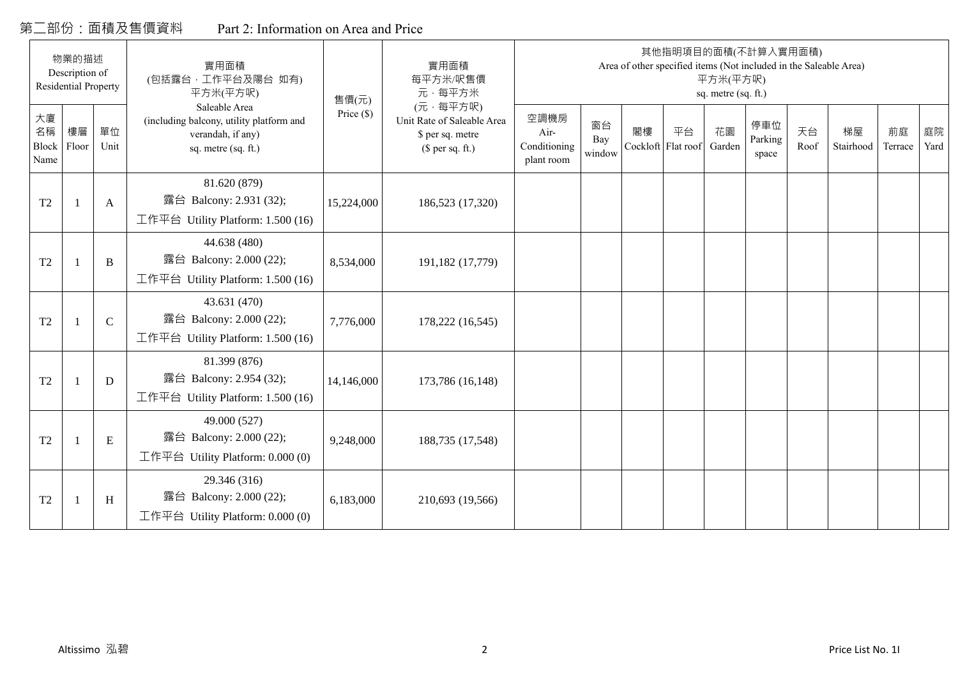# 第二部份:面積及售價資料 Part 2: Information on Area and Price

|                           | 物業的描述<br>Description of<br><b>Residential Property</b> |             | 實用面積<br>(包括露台,工作平台及陽台 如有)                                                                                         |                       | 實用面積<br>每平方米/呎售價                                                                         |                                            |                     |                          |    | 平方米(平方呎)                            | 其他指明項目的面積(不計算入實用面積)<br>Area of other specified items (Not included in the Saleable Area) |            |                 |               |            |
|---------------------------|--------------------------------------------------------|-------------|-------------------------------------------------------------------------------------------------------------------|-----------------------|------------------------------------------------------------------------------------------|--------------------------------------------|---------------------|--------------------------|----|-------------------------------------|------------------------------------------------------------------------------------------|------------|-----------------|---------------|------------|
| 大廈<br>名稱<br>Block<br>Name | 樓層<br>Floor                                            | 單位<br>Unit  | 平方米(平方呎)<br>Saleable Area<br>(including balcony, utility platform and<br>verandah, if any)<br>sq. metre (sq. ft.) | 售價(元)<br>Price $(\$)$ | 元·每平方米<br>(元·每平方呎)<br>Unit Rate of Saleable Area<br>\$ per sq. metre<br>(\$ per sq. ft.) | 空調機房<br>Air-<br>Conditioning<br>plant room | 窗台<br>Bay<br>window | 閣樓<br>Cockloft Flat roof | 平台 | sq. metre (sq. ft.)<br>花園<br>Garden | 停車位<br>Parking<br>space                                                                  | 天台<br>Roof | 梯屋<br>Stairhood | 前庭<br>Terrace | 庭院<br>Yard |
| T <sub>2</sub>            |                                                        | A           | 81.620 (879)<br>露台 Balcony: 2.931 (32);<br>工作平台 Utility Platform: 1.500 (16)                                      | 15,224,000            | 186,523 (17,320)                                                                         |                                            |                     |                          |    |                                     |                                                                                          |            |                 |               |            |
| T <sub>2</sub>            |                                                        | B           | 44.638 (480)<br>露台 Balcony: 2.000 (22);<br>工作平台 Utility Platform: $1.500(16)$                                     | 8,534,000             | 191,182 (17,779)                                                                         |                                            |                     |                          |    |                                     |                                                                                          |            |                 |               |            |
| T <sub>2</sub>            |                                                        | $\mathbf C$ | 43.631 (470)<br>露台 Balcony: 2.000 (22);<br>工作平台 Utility Platform: $1.500(16)$                                     | 7,776,000             | 178,222 (16,545)                                                                         |                                            |                     |                          |    |                                     |                                                                                          |            |                 |               |            |
| T <sub>2</sub>            |                                                        | D           | 81.399 (876)<br>露台 Balcony: 2.954 (32);<br>工作平台 Utility Platform: 1.500 (16)                                      | 14,146,000            | 173,786 (16,148)                                                                         |                                            |                     |                          |    |                                     |                                                                                          |            |                 |               |            |
| T <sub>2</sub>            |                                                        | E           | 49.000 (527)<br>露台 Balcony: 2.000 (22);<br>工作平台 Utility Platform: $0.000(0)$                                      | 9,248,000             | 188,735 (17,548)                                                                         |                                            |                     |                          |    |                                     |                                                                                          |            |                 |               |            |
| T <sub>2</sub>            |                                                        | H           | 29.346 (316)<br>露台 Balcony: 2.000 (22);<br>工作平台 Utility Platform: $0.000(0)$                                      | 6,183,000             | 210,693 (19,566)                                                                         |                                            |                     |                          |    |                                     |                                                                                          |            |                 |               |            |

 $\mathbf{\mathbf{\mathbf{\mathbf{\mathbf{-}}}}}$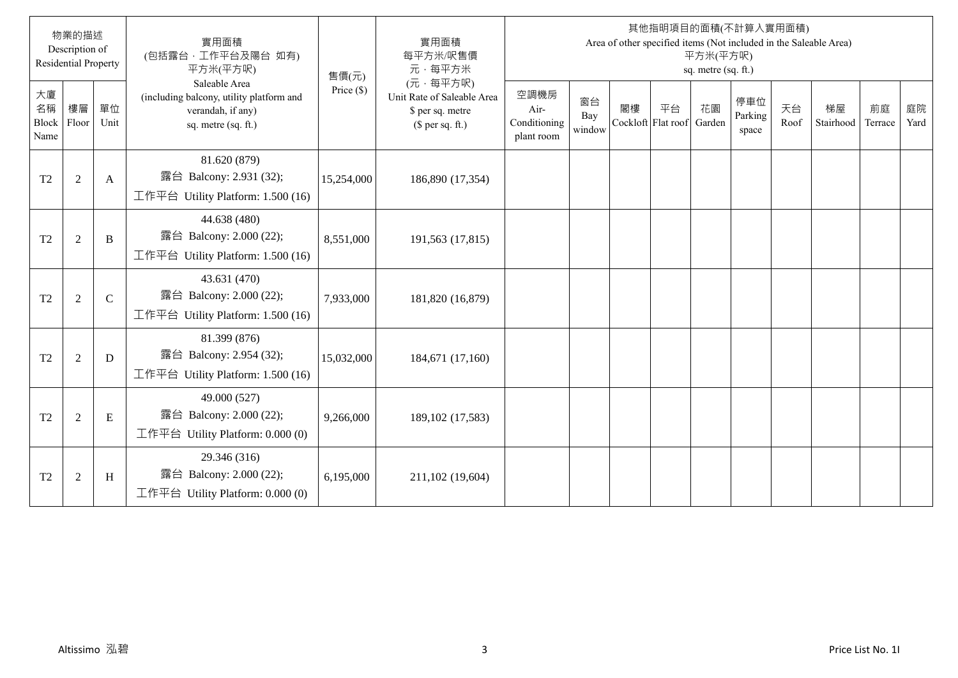|                           | 物業的描述<br>Description of<br><b>Residential Property</b> |               | 實用面積<br>(包括露台,工作平台及陽台 如有)<br>平方米(平方呎)                                                                 | 售價(元)        | 實用面積<br>每平方米/呎售價<br>元·每平方米                                                     |                                            |                     |    |                                 | 平方米(平方呎)<br>sq. metre (sq. ft.) | 其他指明項目的面積(不計算入實用面積)     |            | Area of other specified items (Not included in the Saleable Area) |               |            |
|---------------------------|--------------------------------------------------------|---------------|-------------------------------------------------------------------------------------------------------|--------------|--------------------------------------------------------------------------------|--------------------------------------------|---------------------|----|---------------------------------|---------------------------------|-------------------------|------------|-------------------------------------------------------------------|---------------|------------|
| 大廈<br>名稱<br>Block<br>Name | 樓層<br>Floor                                            | 單位<br>Unit    | Saleable Area<br>(including balcony, utility platform and<br>verandah, if any)<br>sq. metre (sq. ft.) | Price $(\$)$ | (元·每平方呎)<br>Unit Rate of Saleable Area<br>\$ per sq. metre<br>$$$ per sq. ft.) | 空調機房<br>Air-<br>Conditioning<br>plant room | 窗台<br>Bay<br>window | 閣樓 | 平台<br>Cockloft Flat roof Garden | 花園                              | 停車位<br>Parking<br>space | 天台<br>Roof | 梯屋<br>Stairhood                                                   | 前庭<br>Terrace | 庭院<br>Yard |
| T <sub>2</sub>            | $\sqrt{2}$                                             | A             | 81.620 (879)<br>露台 Balcony: 2.931 (32);<br>工作平台 Utility Platform: 1.500 (16)                          | 15,254,000   | 186,890 (17,354)                                                               |                                            |                     |    |                                 |                                 |                         |            |                                                                   |               |            |
| T <sub>2</sub>            | $\sqrt{2}$                                             | B             | 44.638 (480)<br>露台 Balcony: 2.000 (22);<br>工作平台 Utility Platform: 1.500 (16)                          | 8,551,000    | 191,563 (17,815)                                                               |                                            |                     |    |                                 |                                 |                         |            |                                                                   |               |            |
| T <sub>2</sub>            | $\overline{2}$                                         | $\mathcal{C}$ | 43.631 (470)<br>露台 Balcony: 2.000 (22);<br>工作平台 Utility Platform: $1.500(16)$                         | 7,933,000    | 181,820 (16,879)                                                               |                                            |                     |    |                                 |                                 |                         |            |                                                                   |               |            |
| T <sub>2</sub>            | $\overline{2}$                                         | D             | 81.399 (876)<br>露台 Balcony: 2.954 (32);<br>工作平台 Utility Platform: 1.500 (16)                          | 15,032,000   | 184,671 (17,160)                                                               |                                            |                     |    |                                 |                                 |                         |            |                                                                   |               |            |
| T <sub>2</sub>            | $\overline{2}$                                         | E             | 49.000 (527)<br>露台 Balcony: 2.000 (22);<br>工作平台 Utility Platform: 0.000 (0)                           | 9,266,000    | 189, 102 (17, 583)                                                             |                                            |                     |    |                                 |                                 |                         |            |                                                                   |               |            |
| T <sub>2</sub>            | $\overline{2}$                                         | H             | 29.346 (316)<br>露台 Balcony: 2.000 (22);<br>工作平台 Utility Platform: 0.000 (0)                           | 6,195,000    | 211,102 (19,604)                                                               |                                            |                     |    |                                 |                                 |                         |            |                                                                   |               |            |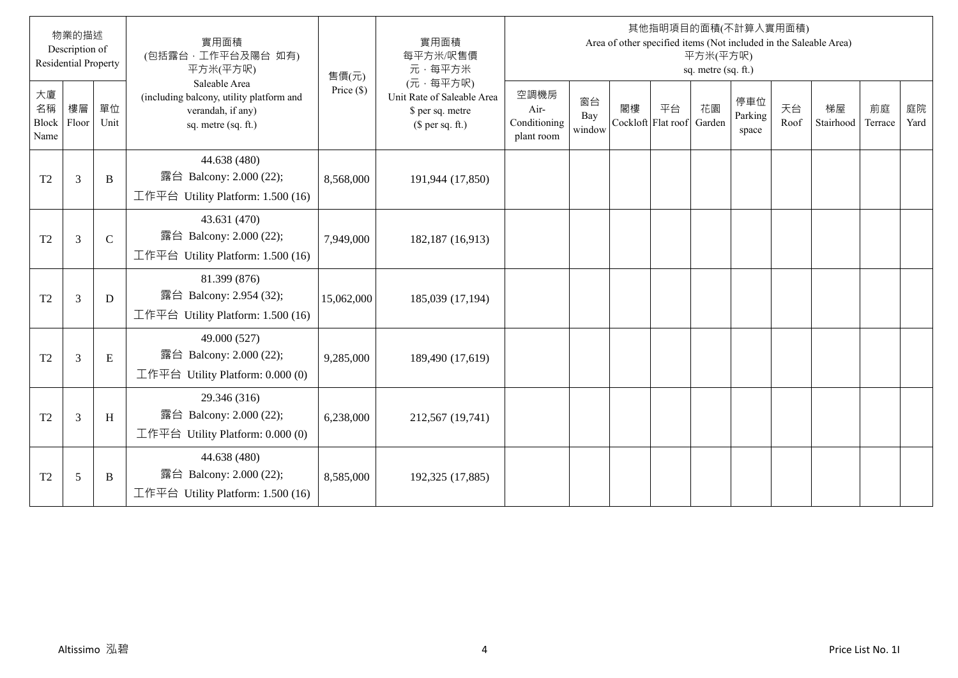|                           | 物業的描述<br>Description of<br><b>Residential Property</b> |               | 實用面積<br>(包括露台,工作平台及陽台 如有)<br>平方米(平方呎)                                                                 | 售價(元)        | 實用面積<br>每平方米/呎售價<br>元·每平方米                                                     |                                            |                     |    |                                 | 平方米(平方呎)<br>sq. metre (sq. ft.) | 其他指明項目的面積(不計算入實用面積)     |            | Area of other specified items (Not included in the Saleable Area) |               |            |
|---------------------------|--------------------------------------------------------|---------------|-------------------------------------------------------------------------------------------------------|--------------|--------------------------------------------------------------------------------|--------------------------------------------|---------------------|----|---------------------------------|---------------------------------|-------------------------|------------|-------------------------------------------------------------------|---------------|------------|
| 大廈<br>名稱<br>Block<br>Name | 樓層<br>Floor                                            | 單位<br>Unit    | Saleable Area<br>(including balcony, utility platform and<br>verandah, if any)<br>sq. metre (sq. ft.) | Price $(\$)$ | (元·每平方呎)<br>Unit Rate of Saleable Area<br>\$ per sq. metre<br>$$$ per sq. ft.) | 空調機房<br>Air-<br>Conditioning<br>plant room | 窗台<br>Bay<br>window | 閣樓 | 平台<br>Cockloft Flat roof Garden | 花園                              | 停車位<br>Parking<br>space | 天台<br>Roof | 梯屋<br>Stairhood                                                   | 前庭<br>Terrace | 庭院<br>Yard |
| T <sub>2</sub>            | 3                                                      | B             | 44.638 (480)<br>露台 Balcony: 2.000 (22);<br>工作平台 Utility Platform: 1.500 (16)                          | 8,568,000    | 191,944 (17,850)                                                               |                                            |                     |    |                                 |                                 |                         |            |                                                                   |               |            |
| T <sub>2</sub>            | $\overline{3}$                                         | $\mathcal{C}$ | 43.631 (470)<br>露台 Balcony: 2.000 (22);<br>工作平台 Utility Platform: 1.500 (16)                          | 7,949,000    | 182,187 (16,913)                                                               |                                            |                     |    |                                 |                                 |                         |            |                                                                   |               |            |
| T <sub>2</sub>            | $\mathfrak{Z}$                                         | D             | 81.399 (876)<br>露台 Balcony: 2.954 (32);<br>工作平台 Utility Platform: $1.500(16)$                         | 15,062,000   | 185,039 (17,194)                                                               |                                            |                     |    |                                 |                                 |                         |            |                                                                   |               |            |
| T <sub>2</sub>            | $\mathfrak{Z}$                                         | E             | 49.000 (527)<br>露台 Balcony: 2.000 (22);<br>工作平台 Utility Platform: 0.000 (0)                           | 9,285,000    | 189,490 (17,619)                                                               |                                            |                     |    |                                 |                                 |                         |            |                                                                   |               |            |
| T <sub>2</sub>            | $\mathfrak{Z}$                                         | H             | 29.346 (316)<br>露台 Balcony: 2.000 (22);<br>工作平台 Utility Platform: 0.000 (0)                           | 6,238,000    | 212,567 (19,741)                                                               |                                            |                     |    |                                 |                                 |                         |            |                                                                   |               |            |
| T <sub>2</sub>            | 5                                                      | B             | 44.638 (480)<br>露台 Balcony: 2.000 (22);<br>工作平台 Utility Platform: 1.500 (16)                          | 8,585,000    | 192,325 (17,885)                                                               |                                            |                     |    |                                 |                                 |                         |            |                                                                   |               |            |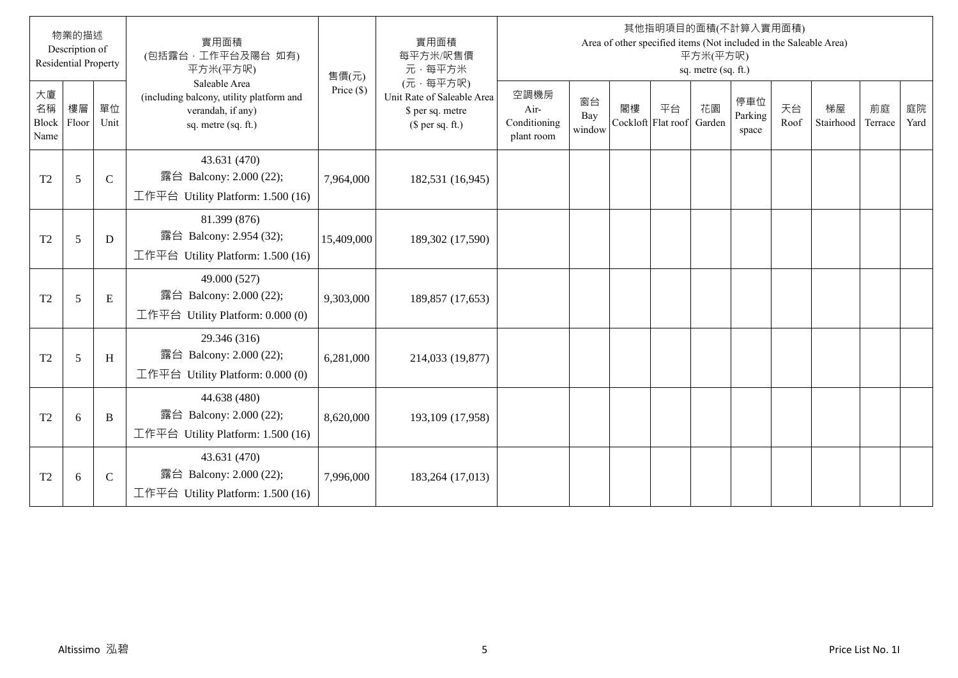|                           | 物業的描述<br>Description of<br><b>Residential Property</b> |              | 實用面積<br>(包括露台,工作平台及陽台 如有)<br>平方米(平方呎)                                                                 | 售價(元)        | 實用面積<br>每平方米/呎售價<br>元·每平方米                                                     |                                            |                     |    |                          | 平方米(平方呎)<br>sq. metre (sq. ft.) | 其他指明項目的面積(不計算入實用面積)<br>Area of other specified items (Not included in the Saleable Area) |            |                 |               |            |
|---------------------------|--------------------------------------------------------|--------------|-------------------------------------------------------------------------------------------------------|--------------|--------------------------------------------------------------------------------|--------------------------------------------|---------------------|----|--------------------------|---------------------------------|------------------------------------------------------------------------------------------|------------|-----------------|---------------|------------|
| 大廈<br>名稱<br>Block<br>Name | 樓層<br>Floor                                            | 單位<br>Unit   | Saleable Area<br>(including balcony, utility platform and<br>verandah, if any)<br>sq. metre (sq. ft.) | Price $(\$)$ | (元·每平方呎)<br>Unit Rate of Saleable Area<br>\$ per sq. metre<br>(\$ per sq. ft.) | 空調機房<br>Air-<br>Conditioning<br>plant room | 窗台<br>Bay<br>window | 閣樓 | 平台<br>Cockloft Flat roof | 花園<br>Garden                    | 停車位<br>Parking<br>space                                                                  | 天台<br>Roof | 梯屋<br>Stairhood | 前庭<br>Terrace | 庭院<br>Yard |
| T <sub>2</sub>            | 5                                                      | $\mathsf{C}$ | 43.631 (470)<br>露台 Balcony: 2.000 (22);<br>工作平台 Utility Platform: $1.500(16)$                         | 7,964,000    | 182,531 (16,945)                                                               |                                            |                     |    |                          |                                 |                                                                                          |            |                 |               |            |
| T2                        | 5                                                      | D            | 81.399 (876)<br>露台 Balcony: 2.954 (32);<br>工作平台 Utility Platform: $1.500(16)$                         | 15,409,000   | 189,302 (17,590)                                                               |                                            |                     |    |                          |                                 |                                                                                          |            |                 |               |            |
| T <sub>2</sub>            | 5                                                      | $\mathbf E$  | 49.000 (527)<br>露台 Balcony: 2.000 (22);<br>工作平台 Utility Platform: $0.000(0)$                          | 9,303,000    | 189,857 (17,653)                                                               |                                            |                     |    |                          |                                 |                                                                                          |            |                 |               |            |
| T <sub>2</sub>            | 5                                                      | H            | 29.346 (316)<br>露台 Balcony: 2.000 (22);<br>工作平台 Utility Platform: 0.000 (0)                           | 6,281,000    | 214,033 (19,877)                                                               |                                            |                     |    |                          |                                 |                                                                                          |            |                 |               |            |
| T <sub>2</sub>            | 6                                                      | B            | 44.638 (480)<br>露台 Balcony: 2.000 (22);<br>工作平台 Utility Platform: $1.500(16)$                         | 8,620,000    | 193,109 (17,958)                                                               |                                            |                     |    |                          |                                 |                                                                                          |            |                 |               |            |
| T <sub>2</sub>            | 6                                                      | $\mathsf{C}$ | 43.631 (470)<br>露台 Balcony: 2.000 (22);<br>工作平台 Utility Platform: $1.500(16)$                         | 7,996,000    | 183,264 (17,013)                                                               |                                            |                     |    |                          |                                 |                                                                                          |            |                 |               |            |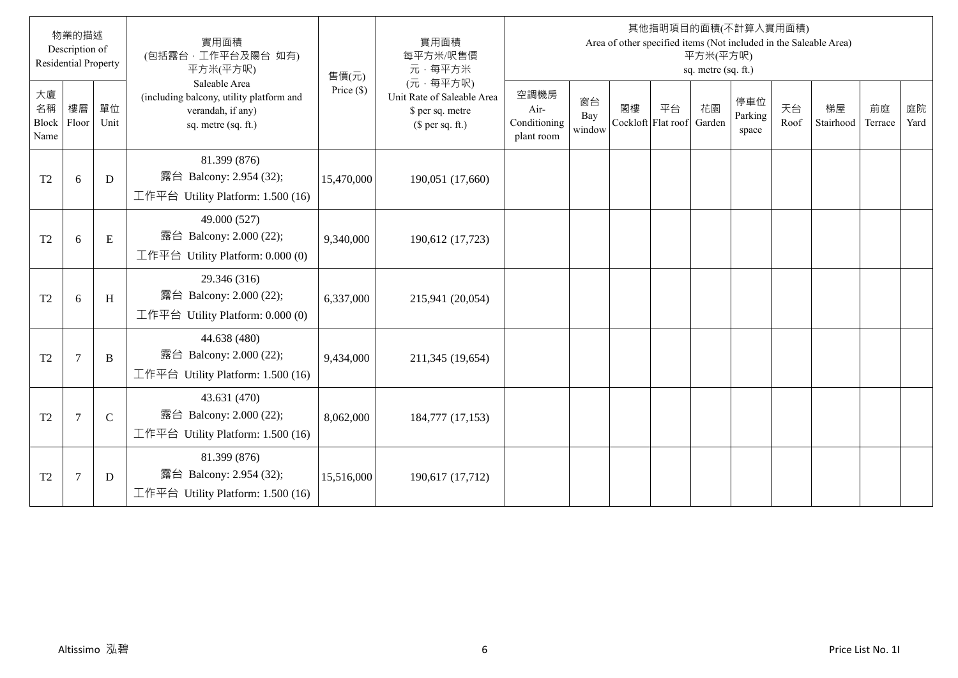|                                  | 物業的描述<br>Description of<br><b>Residential Property</b> |               | 實用面積<br>(包括露台,工作平台及陽台 如有)<br>平方米(平方呎)                                                                 | 售價(元)        | 實用面積<br>每平方米/呎售價<br>元·每平方米                                                     |                                            |                     |    |                                 | 平方米(平方呎)<br>sq. metre (sq. ft.) | 其他指明項目的面積(不計算入實用面積)     |            | Area of other specified items (Not included in the Saleable Area) |               |            |
|----------------------------------|--------------------------------------------------------|---------------|-------------------------------------------------------------------------------------------------------|--------------|--------------------------------------------------------------------------------|--------------------------------------------|---------------------|----|---------------------------------|---------------------------------|-------------------------|------------|-------------------------------------------------------------------|---------------|------------|
| 大廈<br>名稱<br><b>Block</b><br>Name | 樓層<br>Floor                                            | 單位<br>Unit    | Saleable Area<br>(including balcony, utility platform and<br>verandah, if any)<br>sq. metre (sq. ft.) | Price $(\$)$ | (元·每平方呎)<br>Unit Rate of Saleable Area<br>\$ per sq. metre<br>$$$ per sq. ft.) | 空調機房<br>Air-<br>Conditioning<br>plant room | 窗台<br>Bay<br>window | 閣樓 | 平台<br>Cockloft Flat roof Garden | 花園                              | 停車位<br>Parking<br>space | 天台<br>Roof | 梯屋<br>Stairhood                                                   | 前庭<br>Terrace | 庭院<br>Yard |
| T <sub>2</sub>                   | 6                                                      | D             | 81.399 (876)<br>露台 Balcony: 2.954 (32);<br>工作平台 Utility Platform: 1.500 (16)                          | 15,470,000   | 190,051 (17,660)                                                               |                                            |                     |    |                                 |                                 |                         |            |                                                                   |               |            |
| T <sub>2</sub>                   | 6                                                      | E             | 49.000 (527)<br>露台 Balcony: 2.000 (22);<br>工作平台 Utility Platform: $0.000(0)$                          | 9,340,000    | 190,612 (17,723)                                                               |                                            |                     |    |                                 |                                 |                         |            |                                                                   |               |            |
| T <sub>2</sub>                   | 6                                                      | H             | 29.346 (316)<br>露台 Balcony: 2.000 (22);<br>工作平台 Utility Platform: $0.000(0)$                          | 6,337,000    | 215,941 (20,054)                                                               |                                            |                     |    |                                 |                                 |                         |            |                                                                   |               |            |
| T <sub>2</sub>                   | $7\phantom{.0}$                                        | B             | 44.638 (480)<br>露台 Balcony: 2.000 (22);<br>工作平台 Utility Platform: 1.500 (16)                          | 9,434,000    | 211,345 (19,654)                                                               |                                            |                     |    |                                 |                                 |                         |            |                                                                   |               |            |
| T <sub>2</sub>                   | $7\phantom{.0}$                                        | $\mathcal{C}$ | 43.631 (470)<br>露台 Balcony: 2.000 (22);<br>工作平台 Utility Platform: 1.500 (16)                          | 8,062,000    | 184,777 (17,153)                                                               |                                            |                     |    |                                 |                                 |                         |            |                                                                   |               |            |
| T <sub>2</sub>                   | $\overline{7}$                                         | D             | 81.399 (876)<br>露台 Balcony: 2.954 (32);<br>工作平台 Utility Platform: $1.500(16)$                         | 15,516,000   | 190,617 (17,712)                                                               |                                            |                     |    |                                 |                                 |                         |            |                                                                   |               |            |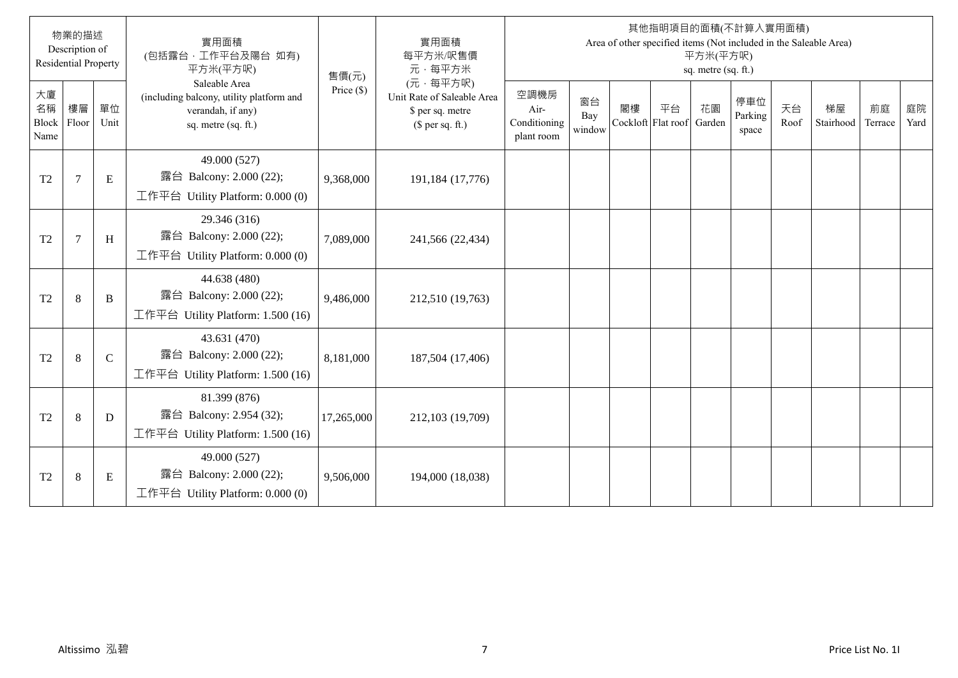|                                  | 物業的描述<br>Description of<br><b>Residential Property</b> |               | 實用面積<br>(包括露台,工作平台及陽台 如有)<br>平方米(平方呎)                                                                 | 售價(元)        | 實用面積<br>每平方米/呎售價<br>元·每平方米                                                     |                                            |                     |    |                                 | 平方米(平方呎)<br>sq. metre (sq. ft.) | 其他指明項目的面積(不計算入實用面積)     |            | Area of other specified items (Not included in the Saleable Area) |               |            |
|----------------------------------|--------------------------------------------------------|---------------|-------------------------------------------------------------------------------------------------------|--------------|--------------------------------------------------------------------------------|--------------------------------------------|---------------------|----|---------------------------------|---------------------------------|-------------------------|------------|-------------------------------------------------------------------|---------------|------------|
| 大廈<br>名稱<br><b>Block</b><br>Name | 樓層<br>Floor                                            | 單位<br>Unit    | Saleable Area<br>(including balcony, utility platform and<br>verandah, if any)<br>sq. metre (sq. ft.) | Price $(\$)$ | (元·每平方呎)<br>Unit Rate of Saleable Area<br>\$ per sq. metre<br>$$$ per sq. ft.) | 空調機房<br>Air-<br>Conditioning<br>plant room | 窗台<br>Bay<br>window | 閣樓 | 平台<br>Cockloft Flat roof Garden | 花園                              | 停車位<br>Parking<br>space | 天台<br>Roof | 梯屋<br>Stairhood                                                   | 前庭<br>Terrace | 庭院<br>Yard |
| T <sub>2</sub>                   | $\overline{7}$                                         | E             | 49.000 (527)<br>露台 Balcony: 2.000 (22);<br>工作平台 Utility Platform: $0.000(0)$                          | 9,368,000    | 191,184 (17,776)                                                               |                                            |                     |    |                                 |                                 |                         |            |                                                                   |               |            |
| T <sub>2</sub>                   | $\overline{7}$                                         | H             | 29.346 (316)<br>露台 Balcony: 2.000 (22);<br>工作平台 Utility Platform: $0.000(0)$                          | 7,089,000    | 241,566 (22,434)                                                               |                                            |                     |    |                                 |                                 |                         |            |                                                                   |               |            |
| T <sub>2</sub>                   | 8                                                      | B             | 44.638 (480)<br>露台 Balcony: 2.000 (22);<br>工作平台 Utility Platform: 1.500 (16)                          | 9,486,000    | 212,510 (19,763)                                                               |                                            |                     |    |                                 |                                 |                         |            |                                                                   |               |            |
| T <sub>2</sub>                   | 8                                                      | $\mathcal{C}$ | 43.631 (470)<br>露台 Balcony: 2.000 (22);<br>工作平台 Utility Platform: 1.500 (16)                          | 8,181,000    | 187,504 (17,406)                                                               |                                            |                     |    |                                 |                                 |                         |            |                                                                   |               |            |
| T <sub>2</sub>                   | $\,8\,$                                                | D             | 81.399 (876)<br>露台 Balcony: 2.954 (32);<br>工作平台 Utility Platform: 1.500 (16)                          | 17,265,000   | 212,103 (19,709)                                                               |                                            |                     |    |                                 |                                 |                         |            |                                                                   |               |            |
| T <sub>2</sub>                   | $\,8\,$                                                | $\mathbf E$   | 49.000 (527)<br>露台 Balcony: 2.000 (22);<br>工作平台 Utility Platform: $0.000(0)$                          | 9,506,000    | 194,000 (18,038)                                                               |                                            |                     |    |                                 |                                 |                         |            |                                                                   |               |            |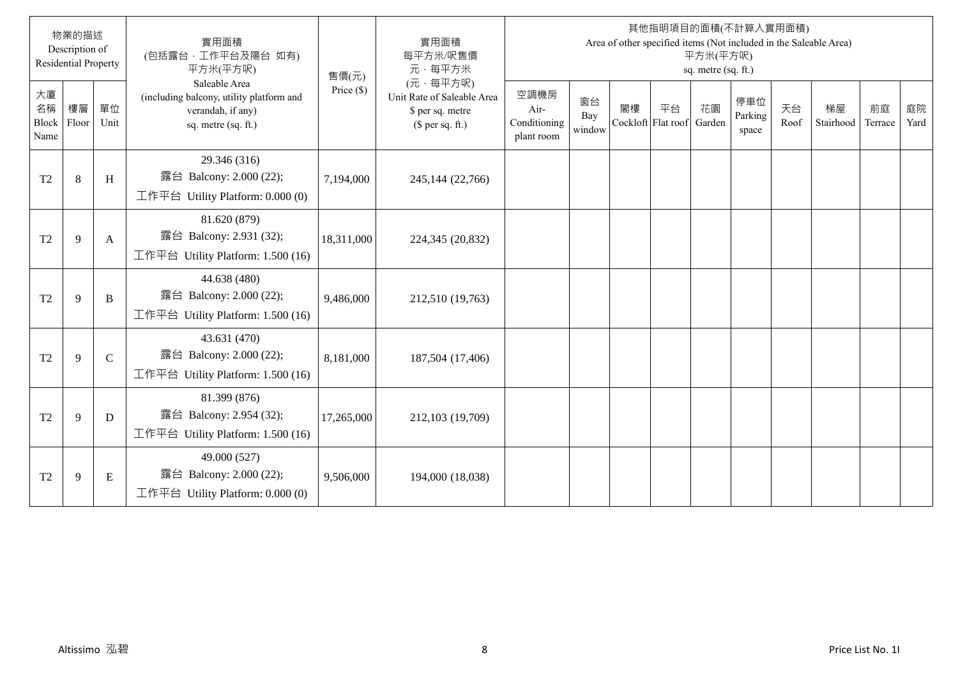|                                  | 物業的描述<br>Description of<br><b>Residential Property</b> |               | 實用面積<br>(包括露台,工作平台及陽台 如有)<br>平方米(平方呎)                                                                 | 售價(元)        | 實用面積<br>每平方米/呎售價<br>元·每平方米                                                     |                                            |                     |    |                                 | 平方米(平方呎)<br>sq. metre (sq. ft.) | 其他指明項目的面積(不計算入實用面積)     |            | Area of other specified items (Not included in the Saleable Area) |               |            |
|----------------------------------|--------------------------------------------------------|---------------|-------------------------------------------------------------------------------------------------------|--------------|--------------------------------------------------------------------------------|--------------------------------------------|---------------------|----|---------------------------------|---------------------------------|-------------------------|------------|-------------------------------------------------------------------|---------------|------------|
| 大廈<br>名稱<br><b>Block</b><br>Name | 樓層<br>Floor                                            | 單位<br>Unit    | Saleable Area<br>(including balcony, utility platform and<br>verandah, if any)<br>sq. metre (sq. ft.) | Price $(\$)$ | (元·每平方呎)<br>Unit Rate of Saleable Area<br>\$ per sq. metre<br>$$$ per sq. ft.) | 空調機房<br>Air-<br>Conditioning<br>plant room | 窗台<br>Bay<br>window | 閣樓 | 平台<br>Cockloft Flat roof Garden | 花園                              | 停車位<br>Parking<br>space | 天台<br>Roof | 梯屋<br>Stairhood                                                   | 前庭<br>Terrace | 庭院<br>Yard |
| T <sub>2</sub>                   | $\,8\,$                                                | H             | 29.346 (316)<br>露台 Balcony: 2.000 (22);<br>工作平台 Utility Platform: $0.000(0)$                          | 7,194,000    | 245,144 (22,766)                                                               |                                            |                     |    |                                 |                                 |                         |            |                                                                   |               |            |
| T <sub>2</sub>                   | 9                                                      | A             | 81.620 (879)<br>露台 Balcony: 2.931 (32);<br>工作平台 Utility Platform: 1.500 (16)                          | 18,311,000   | 224,345 (20,832)                                                               |                                            |                     |    |                                 |                                 |                         |            |                                                                   |               |            |
| T <sub>2</sub>                   | 9                                                      | B             | 44.638 (480)<br>露台 Balcony: 2.000 (22);<br>工作平台 Utility Platform: 1.500 (16)                          | 9,486,000    | 212,510 (19,763)                                                               |                                            |                     |    |                                 |                                 |                         |            |                                                                   |               |            |
| T <sub>2</sub>                   | 9                                                      | $\mathcal{C}$ | 43.631 (470)<br>露台 Balcony: 2.000 (22);<br>工作平台 Utility Platform: 1.500 (16)                          | 8,181,000    | 187,504 (17,406)                                                               |                                            |                     |    |                                 |                                 |                         |            |                                                                   |               |            |
| T <sub>2</sub>                   | 9                                                      | D             | 81.399 (876)<br>露台 Balcony: 2.954 (32);<br>工作平台 Utility Platform: 1.500 (16)                          | 17,265,000   | 212,103 (19,709)                                                               |                                            |                     |    |                                 |                                 |                         |            |                                                                   |               |            |
| T <sub>2</sub>                   | 9                                                      | $\mathbf E$   | 49.000 (527)<br>露台 Balcony: 2.000 (22);<br>工作平台 Utility Platform: $0.000(0)$                          | 9,506,000    | 194,000 (18,038)                                                               |                                            |                     |    |                                 |                                 |                         |            |                                                                   |               |            |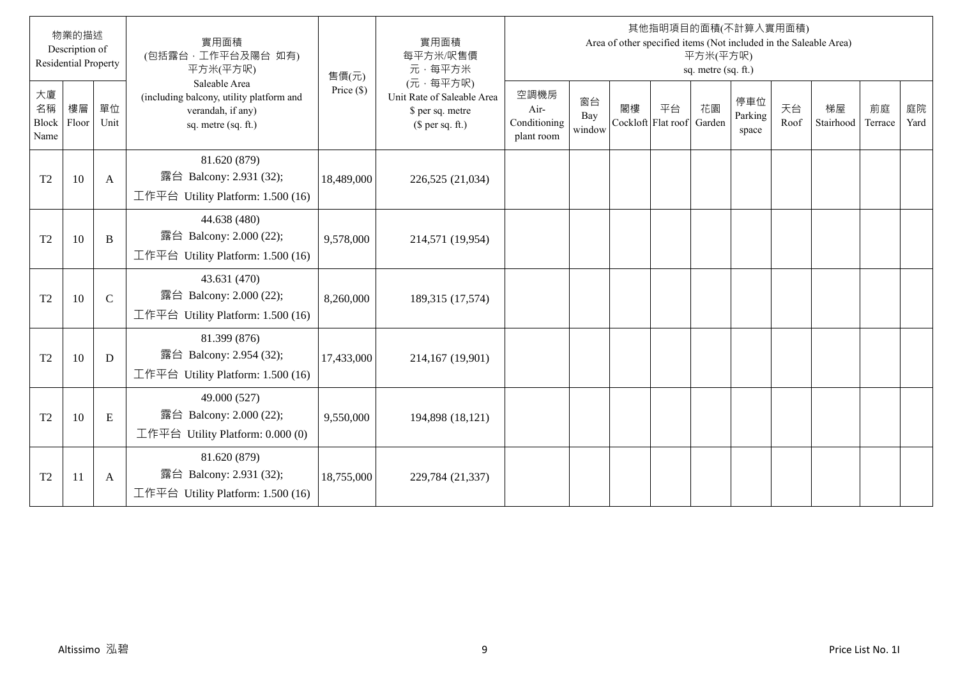|                                  | 物業的描述<br>Description of<br><b>Residential Property</b> |               | 實用面積<br>(包括露台,工作平台及陽台 如有)<br>平方米(平方呎)                                                                 | 售價(元)        | 實用面積<br>每平方米/呎售價<br>元·每平方米                                                     |                                            |                     |    |                                 | 平方米(平方呎)<br>sq. metre (sq. ft.) | 其他指明項目的面積(不計算入實用面積)     |            | Area of other specified items (Not included in the Saleable Area) |               |            |
|----------------------------------|--------------------------------------------------------|---------------|-------------------------------------------------------------------------------------------------------|--------------|--------------------------------------------------------------------------------|--------------------------------------------|---------------------|----|---------------------------------|---------------------------------|-------------------------|------------|-------------------------------------------------------------------|---------------|------------|
| 大廈<br>名稱<br><b>Block</b><br>Name | 樓層<br>Floor                                            | 單位<br>Unit    | Saleable Area<br>(including balcony, utility platform and<br>verandah, if any)<br>sq. metre (sq. ft.) | Price $(\$)$ | (元·每平方呎)<br>Unit Rate of Saleable Area<br>\$ per sq. metre<br>$$$ per sq. ft.) | 空調機房<br>Air-<br>Conditioning<br>plant room | 窗台<br>Bay<br>window | 閣樓 | 平台<br>Cockloft Flat roof Garden | 花園                              | 停車位<br>Parking<br>space | 天台<br>Roof | 梯屋<br>Stairhood                                                   | 前庭<br>Terrace | 庭院<br>Yard |
| T <sub>2</sub>                   | 10                                                     | A             | 81.620 (879)<br>露台 Balcony: 2.931 (32);<br>工作平台 Utility Platform: 1.500 (16)                          | 18,489,000   | 226,525 (21,034)                                                               |                                            |                     |    |                                 |                                 |                         |            |                                                                   |               |            |
| T <sub>2</sub>                   | 10                                                     | B             | 44.638 (480)<br>露台 Balcony: 2.000 (22);<br>工作平台 Utility Platform: 1.500 (16)                          | 9,578,000    | 214,571 (19,954)                                                               |                                            |                     |    |                                 |                                 |                         |            |                                                                   |               |            |
| T <sub>2</sub>                   | 10                                                     | $\mathcal{C}$ | 43.631 (470)<br>露台 Balcony: 2.000 (22);<br>工作平台 Utility Platform: $1.500(16)$                         | 8,260,000    | 189,315 (17,574)                                                               |                                            |                     |    |                                 |                                 |                         |            |                                                                   |               |            |
| T <sub>2</sub>                   | 10                                                     | D             | 81.399 (876)<br>露台 Balcony: 2.954 (32);<br>工作平台 Utility Platform: 1.500 (16)                          | 17,433,000   | 214,167 (19,901)                                                               |                                            |                     |    |                                 |                                 |                         |            |                                                                   |               |            |
| T <sub>2</sub>                   | 10                                                     | E             | 49.000 (527)<br>露台 Balcony: 2.000 (22);<br>工作平台 Utility Platform: $0.000(0)$                          | 9,550,000    | 194,898 (18,121)                                                               |                                            |                     |    |                                 |                                 |                         |            |                                                                   |               |            |
| T <sub>2</sub>                   | 11                                                     | A             | 81.620 (879)<br>露台 Balcony: 2.931 (32);<br>工作平台 Utility Platform: 1.500 (16)                          | 18,755,000   | 229,784 (21,337)                                                               |                                            |                     |    |                                 |                                 |                         |            |                                                                   |               |            |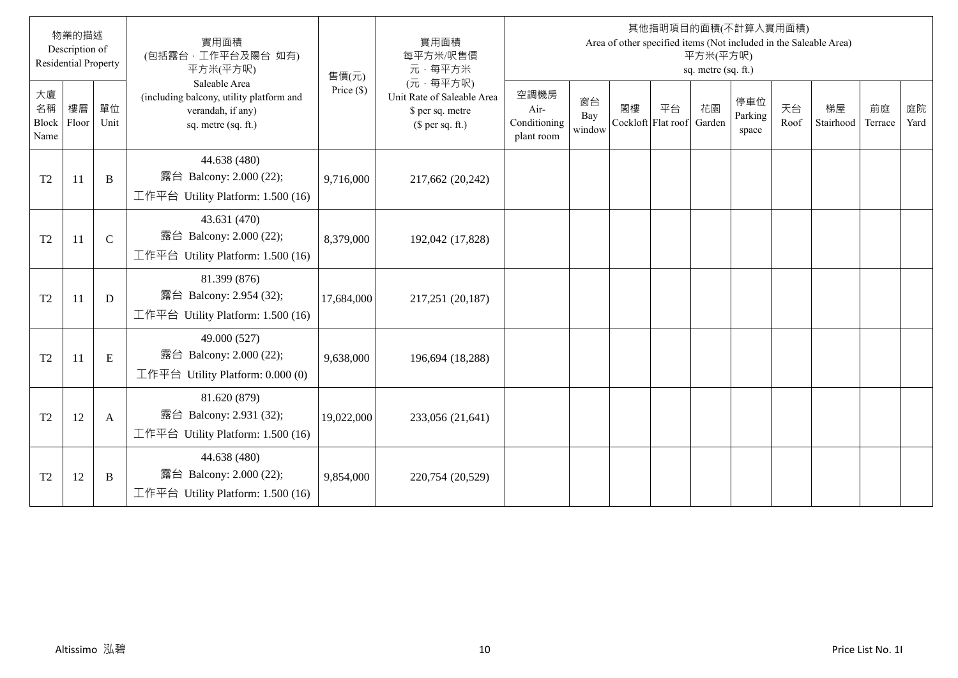|                                  | 物業的描述<br>Description of<br><b>Residential Property</b> |               | 實用面積<br>(包括露台,工作平台及陽台 如有)<br>平方米(平方呎)                                                                 | 售價(元)        | 實用面積<br>每平方米/呎售價<br>元·每平方米                                                     |                                            |                     |    |                                 | 平方米(平方呎)<br>sq. metre (sq. ft.) | 其他指明項目的面積(不計算入實用面積)     |            | Area of other specified items (Not included in the Saleable Area) |               |            |
|----------------------------------|--------------------------------------------------------|---------------|-------------------------------------------------------------------------------------------------------|--------------|--------------------------------------------------------------------------------|--------------------------------------------|---------------------|----|---------------------------------|---------------------------------|-------------------------|------------|-------------------------------------------------------------------|---------------|------------|
| 大廈<br>名稱<br><b>Block</b><br>Name | 樓層<br>Floor                                            | 單位<br>Unit    | Saleable Area<br>(including balcony, utility platform and<br>verandah, if any)<br>sq. metre (sq. ft.) | Price $(\$)$ | (元·每平方呎)<br>Unit Rate of Saleable Area<br>\$ per sq. metre<br>$$$ per sq. ft.) | 空調機房<br>Air-<br>Conditioning<br>plant room | 窗台<br>Bay<br>window | 閣樓 | 平台<br>Cockloft Flat roof Garden | 花園                              | 停車位<br>Parking<br>space | 天台<br>Roof | 梯屋<br>Stairhood                                                   | 前庭<br>Terrace | 庭院<br>Yard |
| T <sub>2</sub>                   | 11                                                     | B             | 44.638 (480)<br>露台 Balcony: 2.000 (22);<br>工作平台 Utility Platform: 1.500 (16)                          | 9,716,000    | 217,662 (20,242)                                                               |                                            |                     |    |                                 |                                 |                         |            |                                                                   |               |            |
| T <sub>2</sub>                   | 11                                                     | $\mathcal{C}$ | 43.631 (470)<br>露台 Balcony: 2.000 (22);<br>工作平台 Utility Platform: 1.500 (16)                          | 8,379,000    | 192,042 (17,828)                                                               |                                            |                     |    |                                 |                                 |                         |            |                                                                   |               |            |
| T <sub>2</sub>                   | 11                                                     | D             | 81.399 (876)<br>露台 Balcony: 2.954 (32);<br>工作平台 Utility Platform: 1.500 (16)                          | 17,684,000   | 217,251 (20,187)                                                               |                                            |                     |    |                                 |                                 |                         |            |                                                                   |               |            |
| T <sub>2</sub>                   | 11                                                     | E             | 49.000 (527)<br>露台 Balcony: 2.000 (22);<br>工作平台 Utility Platform: 0.000 (0)                           | 9,638,000    | 196,694 (18,288)                                                               |                                            |                     |    |                                 |                                 |                         |            |                                                                   |               |            |
| T <sub>2</sub>                   | 12                                                     | A             | 81.620 (879)<br>露台 Balcony: 2.931 (32);<br>工作平台 Utility Platform: 1.500 (16)                          | 19,022,000   | 233,056 (21,641)                                                               |                                            |                     |    |                                 |                                 |                         |            |                                                                   |               |            |
| T <sub>2</sub>                   | 12                                                     | B             | 44.638 (480)<br>露台 Balcony: 2.000 (22);<br>工作平台 Utility Platform: 1.500 (16)                          | 9,854,000    | 220,754 (20,529)                                                               |                                            |                     |    |                                 |                                 |                         |            |                                                                   |               |            |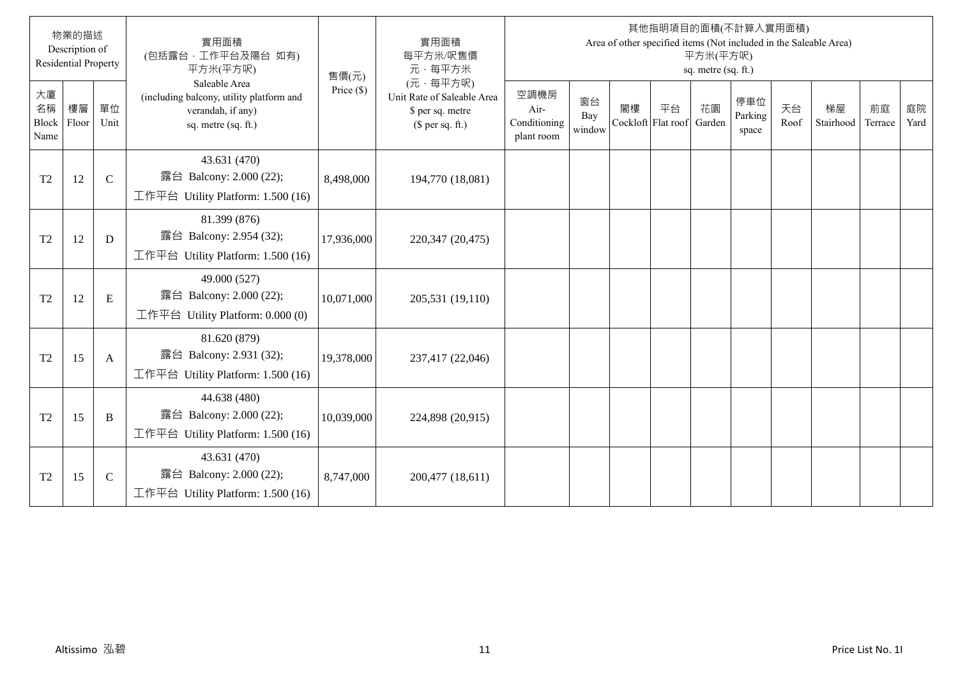|                           | 物業的描述<br>Description of<br><b>Residential Property</b> |               | 實用面積<br>(包括露台,工作平台及陽台 如有)<br>平方米(平方呎)                                                                 | 售價(元)        | 實用面積<br>每平方米/呎售價<br>元·每平方米                                                     |                                            |                     |    |                                 | 平方米(平方呎)<br>sq. metre (sq. ft.) | 其他指明項目的面積(不計算入實用面積)     |            | Area of other specified items (Not included in the Saleable Area) |               |            |
|---------------------------|--------------------------------------------------------|---------------|-------------------------------------------------------------------------------------------------------|--------------|--------------------------------------------------------------------------------|--------------------------------------------|---------------------|----|---------------------------------|---------------------------------|-------------------------|------------|-------------------------------------------------------------------|---------------|------------|
| 大廈<br>名稱<br>Block<br>Name | 樓層<br>Floor                                            | 單位<br>Unit    | Saleable Area<br>(including balcony, utility platform and<br>verandah, if any)<br>sq. metre (sq. ft.) | Price $(\$)$ | (元·每平方呎)<br>Unit Rate of Saleable Area<br>\$ per sq. metre<br>$$$ per sq. ft.) | 空調機房<br>Air-<br>Conditioning<br>plant room | 窗台<br>Bay<br>window | 閣樓 | 平台<br>Cockloft Flat roof Garden | 花園                              | 停車位<br>Parking<br>space | 天台<br>Roof | 梯屋<br>Stairhood                                                   | 前庭<br>Terrace | 庭院<br>Yard |
| T <sub>2</sub>            | 12                                                     | $\mathcal{C}$ | 43.631 (470)<br>露台 Balcony: 2.000 (22);<br>工作平台 Utility Platform: 1.500 (16)                          | 8,498,000    | 194,770 (18,081)                                                               |                                            |                     |    |                                 |                                 |                         |            |                                                                   |               |            |
| T <sub>2</sub>            | 12                                                     | D             | 81.399 (876)<br>露台 Balcony: 2.954 (32);<br>工作平台 Utility Platform: 1.500 (16)                          | 17,936,000   | 220,347 (20,475)                                                               |                                            |                     |    |                                 |                                 |                         |            |                                                                   |               |            |
| T <sub>2</sub>            | 12                                                     | E             | 49.000 (527)<br>露台 Balcony: 2.000 (22);<br>工作平台 Utility Platform: $0.000(0)$                          | 10,071,000   | 205,531 (19,110)                                                               |                                            |                     |    |                                 |                                 |                         |            |                                                                   |               |            |
| T <sub>2</sub>            | 15                                                     | A             | 81.620 (879)<br>露台 Balcony: 2.931 (32);<br>工作平台 Utility Platform: 1.500 (16)                          | 19,378,000   | 237,417 (22,046)                                                               |                                            |                     |    |                                 |                                 |                         |            |                                                                   |               |            |
| T <sub>2</sub>            | 15                                                     | B             | 44.638 (480)<br>露台 Balcony: 2.000 (22);<br>工作平台 Utility Platform: 1.500 (16)                          | 10,039,000   | 224,898 (20,915)                                                               |                                            |                     |    |                                 |                                 |                         |            |                                                                   |               |            |
| T <sub>2</sub>            | 15                                                     | $\mathsf{C}$  | 43.631 (470)<br>露台 Balcony: 2.000 (22);<br>工作平台 Utility Platform: 1.500 (16)                          | 8,747,000    | 200,477 (18,611)                                                               |                                            |                     |    |                                 |                                 |                         |            |                                                                   |               |            |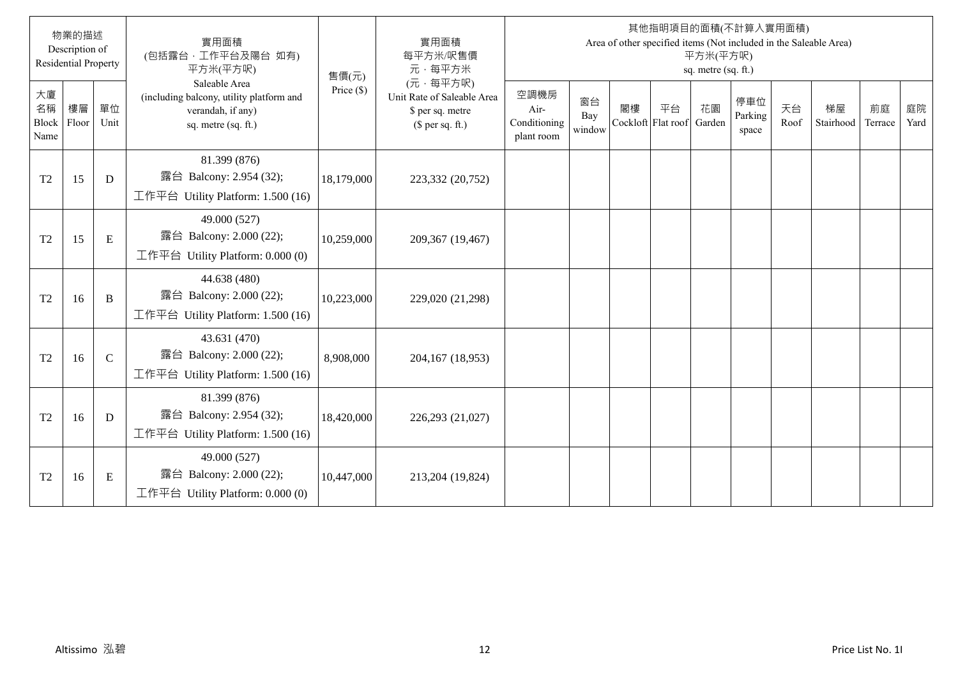|                                  | 物業的描述<br>Description of<br><b>Residential Property</b> |               | 實用面積<br>(包括露台,工作平台及陽台 如有)<br>平方米(平方呎)                                                                 | 售價(元)        | 實用面積<br>每平方米/呎售價<br>元·每平方米                                                     |                                            |                     |    |                                 | 平方米(平方呎)<br>sq. metre (sq. ft.) | 其他指明項目的面積(不計算入實用面積)     |            | Area of other specified items (Not included in the Saleable Area) |               |            |
|----------------------------------|--------------------------------------------------------|---------------|-------------------------------------------------------------------------------------------------------|--------------|--------------------------------------------------------------------------------|--------------------------------------------|---------------------|----|---------------------------------|---------------------------------|-------------------------|------------|-------------------------------------------------------------------|---------------|------------|
| 大廈<br>名稱<br><b>Block</b><br>Name | 樓層<br>Floor                                            | 單位<br>Unit    | Saleable Area<br>(including balcony, utility platform and<br>verandah, if any)<br>sq. metre (sq. ft.) | Price $(\$)$ | (元·每平方呎)<br>Unit Rate of Saleable Area<br>\$ per sq. metre<br>$$$ per sq. ft.) | 空調機房<br>Air-<br>Conditioning<br>plant room | 窗台<br>Bay<br>window | 閣樓 | 平台<br>Cockloft Flat roof Garden | 花園                              | 停車位<br>Parking<br>space | 天台<br>Roof | 梯屋<br>Stairhood                                                   | 前庭<br>Terrace | 庭院<br>Yard |
| T <sub>2</sub>                   | 15                                                     | D             | 81.399 (876)<br>露台 Balcony: 2.954 (32);<br>工作平台 Utility Platform: $1.500(16)$                         | 18,179,000   | 223,332 (20,752)                                                               |                                            |                     |    |                                 |                                 |                         |            |                                                                   |               |            |
| T <sub>2</sub>                   | 15                                                     | ${\bf E}$     | 49.000 (527)<br>露台 Balcony: 2.000 (22);<br>工作平台 Utility Platform: $0.000(0)$                          | 10,259,000   | 209,367 (19,467)                                                               |                                            |                     |    |                                 |                                 |                         |            |                                                                   |               |            |
| T <sub>2</sub>                   | 16                                                     | B             | 44.638 (480)<br>露台 Balcony: 2.000 (22);<br>工作平台 Utility Platform: 1.500 (16)                          | 10,223,000   | 229,020 (21,298)                                                               |                                            |                     |    |                                 |                                 |                         |            |                                                                   |               |            |
| T <sub>2</sub>                   | 16                                                     | $\mathcal{C}$ | 43.631 (470)<br>露台 Balcony: 2.000 (22);<br>工作平台 Utility Platform: 1.500 (16)                          | 8,908,000    | 204,167 (18,953)                                                               |                                            |                     |    |                                 |                                 |                         |            |                                                                   |               |            |
| T <sub>2</sub>                   | 16                                                     | D             | 81.399 (876)<br>露台 Balcony: 2.954 (32);<br>工作平台 Utility Platform: 1.500 (16)                          | 18,420,000   | 226,293 (21,027)                                                               |                                            |                     |    |                                 |                                 |                         |            |                                                                   |               |            |
| T <sub>2</sub>                   | 16                                                     | E             | 49.000 (527)<br>露台 Balcony: 2.000 (22);<br>工作平台 Utility Platform: $0.000(0)$                          | 10,447,000   | 213,204 (19,824)                                                               |                                            |                     |    |                                 |                                 |                         |            |                                                                   |               |            |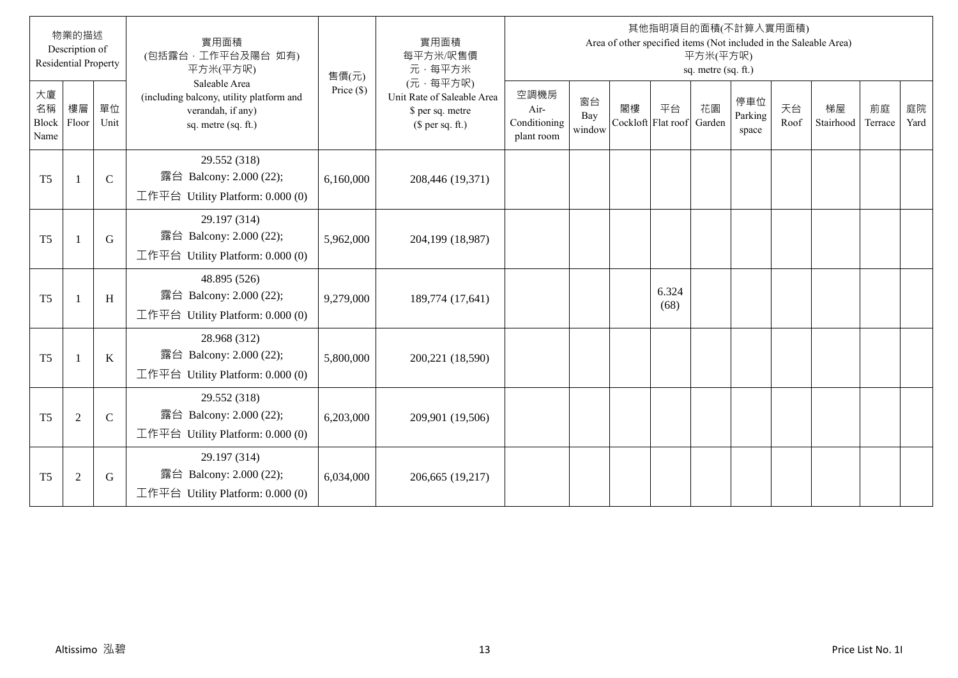|                                  | 物業的描述<br>Description of<br><b>Residential Property</b> |               | 實用面積<br>(包括露台,工作平台及陽台 如有)<br>平方米(平方呎)                                                                 | 售價(元)        | 實用面積<br>每平方米/呎售價<br>元·每平方米                                                     |                                            |                     |    |                                 | 平方米(平方呎)<br>sq. metre (sq. ft.) | 其他指明項目的面積(不計算入實用面積)     |            | Area of other specified items (Not included in the Saleable Area) |               |            |
|----------------------------------|--------------------------------------------------------|---------------|-------------------------------------------------------------------------------------------------------|--------------|--------------------------------------------------------------------------------|--------------------------------------------|---------------------|----|---------------------------------|---------------------------------|-------------------------|------------|-------------------------------------------------------------------|---------------|------------|
| 大廈<br>名稱<br><b>Block</b><br>Name | 樓層<br>Floor                                            | 單位<br>Unit    | Saleable Area<br>(including balcony, utility platform and<br>verandah, if any)<br>sq. metre (sq. ft.) | Price $(\$)$ | (元·每平方呎)<br>Unit Rate of Saleable Area<br>\$ per sq. metre<br>$$$ per sq. ft.) | 空調機房<br>Air-<br>Conditioning<br>plant room | 窗台<br>Bay<br>window | 閣樓 | 平台<br>Cockloft Flat roof Garden | 花園                              | 停車位<br>Parking<br>space | 天台<br>Roof | 梯屋<br>Stairhood                                                   | 前庭<br>Terrace | 庭院<br>Yard |
| T <sub>5</sub>                   | $\overline{1}$                                         | $\mathbf C$   | 29.552 (318)<br>露台 Balcony: 2.000 (22);<br>工作平台 Utility Platform: $0.000(0)$                          | 6,160,000    | 208,446 (19,371)                                                               |                                            |                     |    |                                 |                                 |                         |            |                                                                   |               |            |
| T <sub>5</sub>                   | $\overline{1}$                                         | G             | 29.197 (314)<br>露台 Balcony: 2.000 (22);<br>工作平台 Utility Platform: $0.000(0)$                          | 5,962,000    | 204,199 (18,987)                                                               |                                            |                     |    |                                 |                                 |                         |            |                                                                   |               |            |
| T <sub>5</sub>                   | $\overline{1}$                                         | H             | 48.895 (526)<br>露台 Balcony: 2.000 (22);<br>工作平台 Utility Platform: $0.000(0)$                          | 9,279,000    | 189,774 (17,641)                                                               |                                            |                     |    | 6.324<br>(68)                   |                                 |                         |            |                                                                   |               |            |
| T <sub>5</sub>                   | - 1                                                    | $\bf K$       | 28.968 (312)<br>露台 Balcony: 2.000 (22);<br>工作平台 Utility Platform: 0.000 (0)                           | 5,800,000    | 200,221 (18,590)                                                               |                                            |                     |    |                                 |                                 |                         |            |                                                                   |               |            |
| T <sub>5</sub>                   | $\overline{2}$                                         | $\mathcal{C}$ | 29.552 (318)<br>露台 Balcony: 2.000 (22);<br>工作平台 Utility Platform: $0.000(0)$                          | 6,203,000    | 209,901 (19,506)                                                               |                                            |                     |    |                                 |                                 |                         |            |                                                                   |               |            |
| T <sub>5</sub>                   | $\overline{2}$                                         | G             | 29.197 (314)<br>露台 Balcony: 2.000 (22);<br>工作平台 Utility Platform: $0.000(0)$                          | 6,034,000    | 206,665 (19,217)                                                               |                                            |                     |    |                                 |                                 |                         |            |                                                                   |               |            |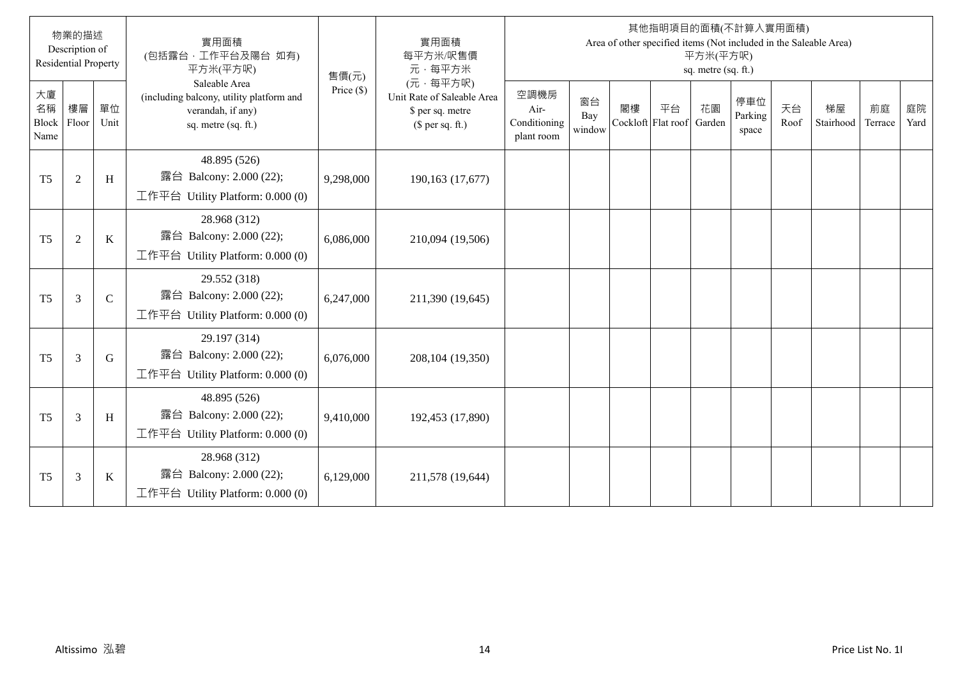|                                  | 物業的描述<br>Description of<br><b>Residential Property</b> |               | 實用面積<br>(包括露台,工作平台及陽台 如有)<br>平方米(平方呎)                                                                 | 售價(元)        | 實用面積<br>每平方米/呎售價<br>元·每平方米                                                     |                                            |                     |    |                                 | 平方米(平方呎)<br>sq. metre (sq. ft.) | 其他指明項目的面積(不計算入實用面積)     |            | Area of other specified items (Not included in the Saleable Area) |               |            |
|----------------------------------|--------------------------------------------------------|---------------|-------------------------------------------------------------------------------------------------------|--------------|--------------------------------------------------------------------------------|--------------------------------------------|---------------------|----|---------------------------------|---------------------------------|-------------------------|------------|-------------------------------------------------------------------|---------------|------------|
| 大廈<br>名稱<br><b>Block</b><br>Name | 樓層<br>Floor                                            | 單位<br>Unit    | Saleable Area<br>(including balcony, utility platform and<br>verandah, if any)<br>sq. metre (sq. ft.) | Price $(\$)$ | (元·每平方呎)<br>Unit Rate of Saleable Area<br>\$ per sq. metre<br>$$$ per sq. ft.) | 空調機房<br>Air-<br>Conditioning<br>plant room | 窗台<br>Bay<br>window | 閣樓 | 平台<br>Cockloft Flat roof Garden | 花園                              | 停車位<br>Parking<br>space | 天台<br>Roof | 梯屋<br>Stairhood                                                   | 前庭<br>Terrace | 庭院<br>Yard |
| T <sub>5</sub>                   | $\sqrt{2}$                                             | H             | 48.895 (526)<br>露台 Balcony: 2.000 (22);<br>工作平台 Utility Platform: $0.000(0)$                          | 9,298,000    | 190,163 (17,677)                                                               |                                            |                     |    |                                 |                                 |                         |            |                                                                   |               |            |
| T <sub>5</sub>                   | $\overline{2}$                                         | K             | 28.968 (312)<br>露台 Balcony: 2.000 (22);<br>工作平台 Utility Platform: $0.000(0)$                          | 6,086,000    | 210,094 (19,506)                                                               |                                            |                     |    |                                 |                                 |                         |            |                                                                   |               |            |
| T <sub>5</sub>                   | $\overline{3}$                                         | $\mathcal{C}$ | 29.552 (318)<br>露台 Balcony: 2.000 (22);<br>工作平台 Utility Platform: $0.000(0)$                          | 6,247,000    | 211,390 (19,645)                                                               |                                            |                     |    |                                 |                                 |                         |            |                                                                   |               |            |
| T <sub>5</sub>                   | $\overline{3}$                                         | G             | 29.197 (314)<br>露台 Balcony: 2.000 (22);<br>工作平台 Utility Platform: 0.000 (0)                           | 6,076,000    | 208,104 (19,350)                                                               |                                            |                     |    |                                 |                                 |                         |            |                                                                   |               |            |
| T <sub>5</sub>                   | $\mathfrak{Z}$                                         | H             | 48.895 (526)<br>露台 Balcony: 2.000 (22);<br>工作平台 Utility Platform: $0.000(0)$                          | 9,410,000    | 192,453 (17,890)                                                               |                                            |                     |    |                                 |                                 |                         |            |                                                                   |               |            |
| T <sub>5</sub>                   | $\mathfrak{Z}$                                         | $\bf K$       | 28.968 (312)<br>露台 Balcony: 2.000 (22);<br>工作平台 Utility Platform: $0.000(0)$                          | 6,129,000    | 211,578 (19,644)                                                               |                                            |                     |    |                                 |                                 |                         |            |                                                                   |               |            |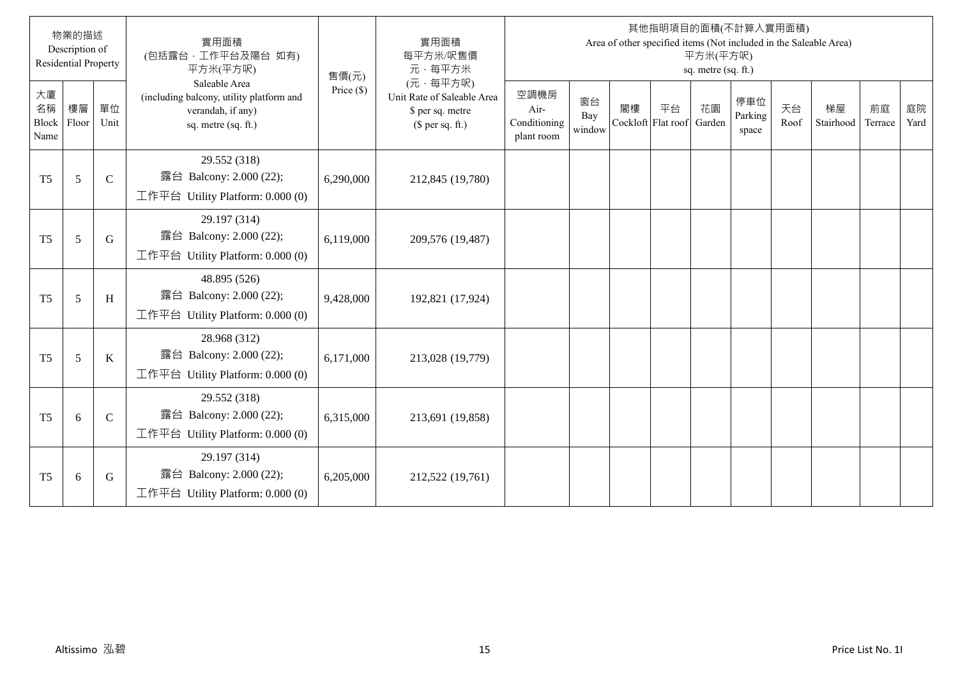|                           | 物業的描述<br>Description of<br><b>Residential Property</b> |               | 實用面積<br>(包括露台,工作平台及陽台 如有)<br>平方米(平方呎)                                                                 | 售價(元)        | 實用面積<br>每平方米/呎售價<br>元·每平方米                                                     |                                            |                     |    |                                 | 平方米(平方呎)<br>sq. metre (sq. ft.) | 其他指明項目的面積(不計算入實用面積)     |            | Area of other specified items (Not included in the Saleable Area) |               |            |
|---------------------------|--------------------------------------------------------|---------------|-------------------------------------------------------------------------------------------------------|--------------|--------------------------------------------------------------------------------|--------------------------------------------|---------------------|----|---------------------------------|---------------------------------|-------------------------|------------|-------------------------------------------------------------------|---------------|------------|
| 大廈<br>名稱<br>Block<br>Name | 樓層<br>Floor                                            | 單位<br>Unit    | Saleable Area<br>(including balcony, utility platform and<br>verandah, if any)<br>sq. metre (sq. ft.) | Price $(\$)$ | (元·每平方呎)<br>Unit Rate of Saleable Area<br>\$ per sq. metre<br>$$$ per sq. ft.) | 空調機房<br>Air-<br>Conditioning<br>plant room | 窗台<br>Bay<br>window | 閣樓 | 平台<br>Cockloft Flat roof Garden | 花園                              | 停車位<br>Parking<br>space | 天台<br>Roof | 梯屋<br>Stairhood                                                   | 前庭<br>Terrace | 庭院<br>Yard |
| T <sub>5</sub>            | 5                                                      | $\mathcal{C}$ | 29.552 (318)<br>露台 Balcony: 2.000 (22);<br>工作平台 Utility Platform: $0.000(0)$                          | 6,290,000    | 212,845 (19,780)                                                               |                                            |                     |    |                                 |                                 |                         |            |                                                                   |               |            |
| T <sub>5</sub>            | 5                                                      | G             | 29.197 (314)<br>露台 Balcony: 2.000 (22);<br>工作平台 Utility Platform: $0.000(0)$                          | 6,119,000    | 209,576 (19,487)                                                               |                                            |                     |    |                                 |                                 |                         |            |                                                                   |               |            |
| T <sub>5</sub>            | 5                                                      | H             | 48.895 (526)<br>露台 Balcony: 2.000 (22);<br>工作平台 Utility Platform: $0.000(0)$                          | 9,428,000    | 192,821 (17,924)                                                               |                                            |                     |    |                                 |                                 |                         |            |                                                                   |               |            |
| T <sub>5</sub>            | 5                                                      | $\bf K$       | 28.968 (312)<br>露台 Balcony: 2.000 (22);<br>工作平台 Utility Platform: 0.000 (0)                           | 6,171,000    | 213,028 (19,779)                                                               |                                            |                     |    |                                 |                                 |                         |            |                                                                   |               |            |
| T <sub>5</sub>            | 6                                                      | $\mathcal{C}$ | 29.552 (318)<br>露台 Balcony: 2.000 (22);<br>工作平台 Utility Platform: $0.000(0)$                          | 6,315,000    | 213,691 (19,858)                                                               |                                            |                     |    |                                 |                                 |                         |            |                                                                   |               |            |
| T <sub>5</sub>            | 6                                                      | G             | 29.197 (314)<br>露台 Balcony: 2.000 (22);<br>工作平台 Utility Platform: $0.000(0)$                          | 6,205,000    | 212,522 (19,761)                                                               |                                            |                     |    |                                 |                                 |                         |            |                                                                   |               |            |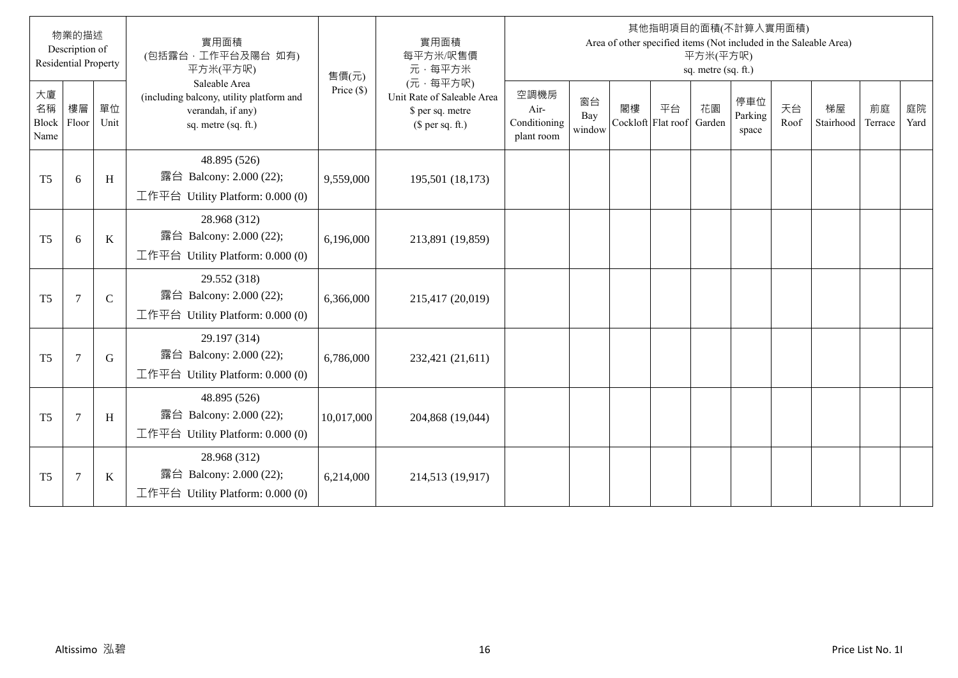|                                  | 物業的描述<br>Description of<br><b>Residential Property</b> |               | 實用面積<br>(包括露台,工作平台及陽台 如有)<br>平方米(平方呎)                                                                 | 售價(元)        | 實用面積<br>每平方米/呎售價<br>元·每平方米                                                     |                                            |                     |    |                                 | 平方米(平方呎)<br>sq. metre (sq. ft.) | 其他指明項目的面積(不計算入實用面積)     |            | Area of other specified items (Not included in the Saleable Area) |               |            |
|----------------------------------|--------------------------------------------------------|---------------|-------------------------------------------------------------------------------------------------------|--------------|--------------------------------------------------------------------------------|--------------------------------------------|---------------------|----|---------------------------------|---------------------------------|-------------------------|------------|-------------------------------------------------------------------|---------------|------------|
| 大廈<br>名稱<br><b>Block</b><br>Name | 樓層<br>Floor                                            | 單位<br>Unit    | Saleable Area<br>(including balcony, utility platform and<br>verandah, if any)<br>sq. metre (sq. ft.) | Price $(\$)$ | (元·每平方呎)<br>Unit Rate of Saleable Area<br>\$ per sq. metre<br>$$$ per sq. ft.) | 空調機房<br>Air-<br>Conditioning<br>plant room | 窗台<br>Bay<br>window | 閣樓 | 平台<br>Cockloft Flat roof Garden | 花園                              | 停車位<br>Parking<br>space | 天台<br>Roof | 梯屋<br>Stairhood                                                   | 前庭<br>Terrace | 庭院<br>Yard |
| T <sub>5</sub>                   | 6                                                      | H             | 48.895 (526)<br>露台 Balcony: 2.000 (22);<br>工作平台 Utility Platform: $0.000(0)$                          | 9,559,000    | 195,501 (18,173)                                                               |                                            |                     |    |                                 |                                 |                         |            |                                                                   |               |            |
| T <sub>5</sub>                   | 6                                                      | K             | 28.968 (312)<br>露台 Balcony: 2.000 (22);<br>工作平台 Utility Platform: $0.000(0)$                          | 6,196,000    | 213,891 (19,859)                                                               |                                            |                     |    |                                 |                                 |                         |            |                                                                   |               |            |
| T <sub>5</sub>                   | $\overline{7}$                                         | $\mathcal{C}$ | 29.552 (318)<br>露台 Balcony: 2.000 (22);<br>工作平台 Utility Platform: $0.000(0)$                          | 6,366,000    | 215,417 (20,019)                                                               |                                            |                     |    |                                 |                                 |                         |            |                                                                   |               |            |
| T <sub>5</sub>                   | $\overline{7}$                                         | G             | 29.197 (314)<br>露台 Balcony: 2.000 (22);<br>工作平台 Utility Platform: 0.000 (0)                           | 6,786,000    | 232,421 (21,611)                                                               |                                            |                     |    |                                 |                                 |                         |            |                                                                   |               |            |
| T <sub>5</sub>                   | $7\phantom{.0}$                                        | H             | 48.895 (526)<br>露台 Balcony: 2.000 (22);<br>工作平台 Utility Platform: $0.000(0)$                          | 10,017,000   | 204,868 (19,044)                                                               |                                            |                     |    |                                 |                                 |                         |            |                                                                   |               |            |
| T <sub>5</sub>                   | $\overline{7}$                                         | $\bf K$       | 28.968 (312)<br>露台 Balcony: 2.000 (22);<br>工作平台 Utility Platform: $0.000(0)$                          | 6,214,000    | 214,513 (19,917)                                                               |                                            |                     |    |                                 |                                 |                         |            |                                                                   |               |            |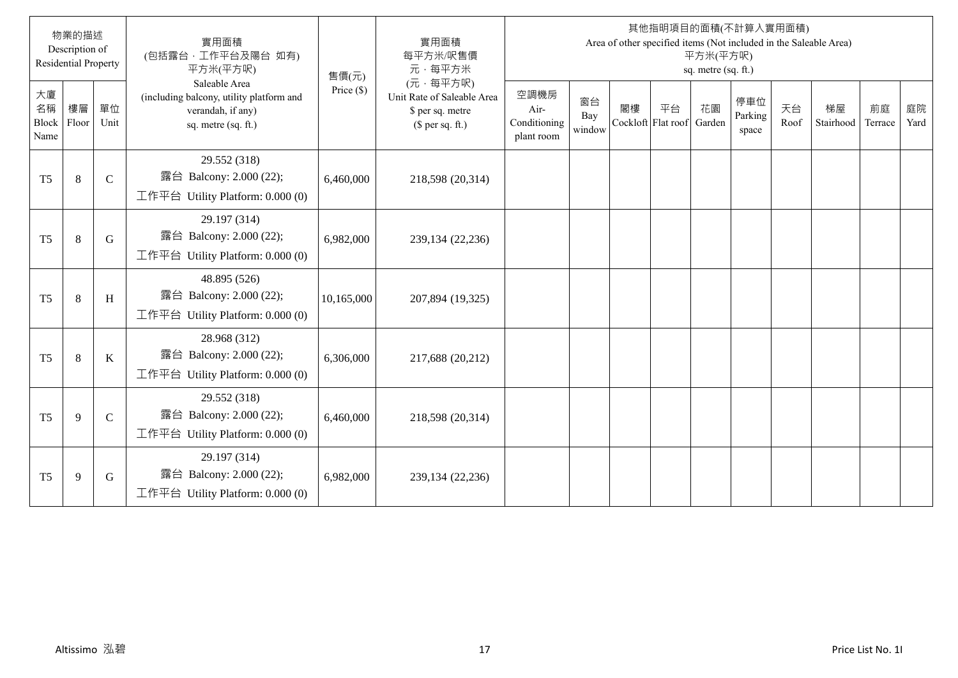|                                  | 物業的描述<br>Description of<br><b>Residential Property</b> |               | 實用面積<br>(包括露台,工作平台及陽台 如有)<br>平方米(平方呎)                                                                 | 售價(元)        | 實用面積<br>每平方米/呎售價<br>元·每平方米                                                     |                                            |                     |    |                                 | 平方米(平方呎)<br>sq. metre (sq. ft.) | 其他指明項目的面積(不計算入實用面積)     |            | Area of other specified items (Not included in the Saleable Area) |               |            |
|----------------------------------|--------------------------------------------------------|---------------|-------------------------------------------------------------------------------------------------------|--------------|--------------------------------------------------------------------------------|--------------------------------------------|---------------------|----|---------------------------------|---------------------------------|-------------------------|------------|-------------------------------------------------------------------|---------------|------------|
| 大廈<br>名稱<br><b>Block</b><br>Name | 樓層<br>Floor                                            | 單位<br>Unit    | Saleable Area<br>(including balcony, utility platform and<br>verandah, if any)<br>sq. metre (sq. ft.) | Price $(\$)$ | (元·每平方呎)<br>Unit Rate of Saleable Area<br>\$ per sq. metre<br>$$$ per sq. ft.) | 空調機房<br>Air-<br>Conditioning<br>plant room | 窗台<br>Bay<br>window | 閣樓 | 平台<br>Cockloft Flat roof Garden | 花園                              | 停車位<br>Parking<br>space | 天台<br>Roof | 梯屋<br>Stairhood                                                   | 前庭<br>Terrace | 庭院<br>Yard |
| T <sub>5</sub>                   | $\,8\,$                                                | $\mathbf C$   | 29.552 (318)<br>露台 Balcony: 2.000 (22);<br>工作平台 Utility Platform: $0.000(0)$                          | 6,460,000    | 218,598 (20,314)                                                               |                                            |                     |    |                                 |                                 |                         |            |                                                                   |               |            |
| T <sub>5</sub>                   | 8                                                      | G             | 29.197 (314)<br>露台 Balcony: 2.000 (22);<br>工作平台 Utility Platform: $0.000(0)$                          | 6,982,000    | 239,134 (22,236)                                                               |                                            |                     |    |                                 |                                 |                         |            |                                                                   |               |            |
| T <sub>5</sub>                   | 8                                                      | H             | 48.895 (526)<br>露台 Balcony: 2.000 (22);<br>工作平台 Utility Platform: $0.000(0)$                          | 10,165,000   | 207,894 (19,325)                                                               |                                            |                     |    |                                 |                                 |                         |            |                                                                   |               |            |
| T <sub>5</sub>                   | 8                                                      | K             | 28.968 (312)<br>露台 Balcony: 2.000 (22);<br>工作平台 Utility Platform: 0.000 (0)                           | 6,306,000    | 217,688 (20,212)                                                               |                                            |                     |    |                                 |                                 |                         |            |                                                                   |               |            |
| T <sub>5</sub>                   | 9                                                      | $\mathcal{C}$ | 29.552 (318)<br>露台 Balcony: 2.000 (22);<br>工作平台 Utility Platform: $0.000(0)$                          | 6,460,000    | 218,598 (20,314)                                                               |                                            |                     |    |                                 |                                 |                         |            |                                                                   |               |            |
| T <sub>5</sub>                   | 9                                                      | G             | 29.197 (314)<br>露台 Balcony: 2.000 (22);<br>工作平台 Utility Platform: $0.000(0)$                          | 6,982,000    | 239,134 (22,236)                                                               |                                            |                     |    |                                 |                                 |                         |            |                                                                   |               |            |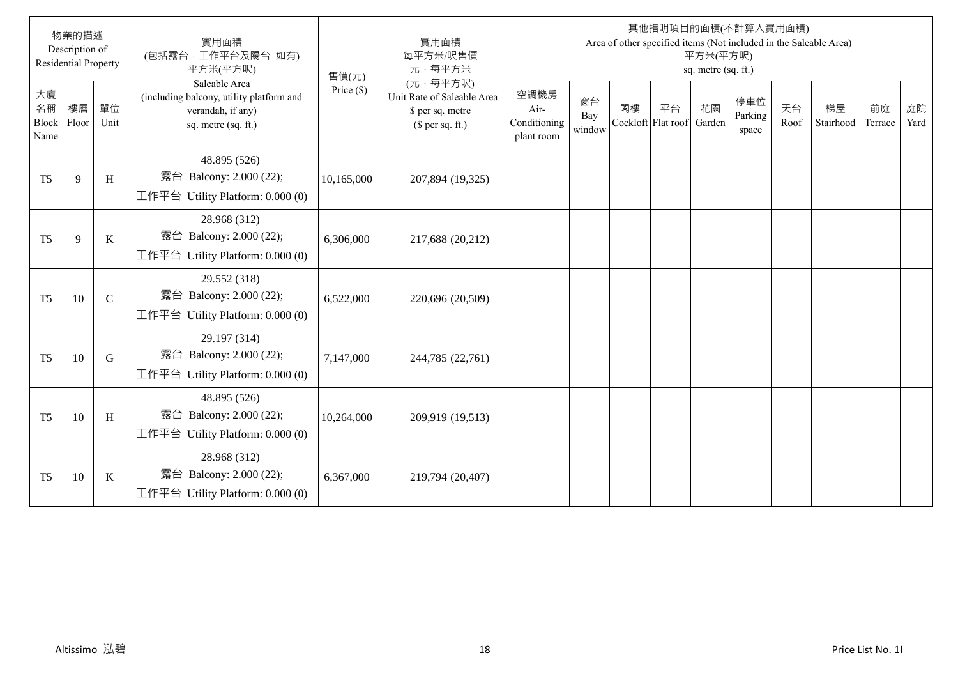|                           | 物業的描述<br>Description of<br><b>Residential Property</b> |               | 實用面積<br>(包括露台,工作平台及陽台 如有)<br>平方米(平方呎)                                                                 | 售價(元)        | 實用面積<br>每平方米/呎售價<br>元·每平方米                                                     |                                            |                     |    |                                 | 平方米(平方呎)<br>sq. metre (sq. ft.) | 其他指明項目的面積(不計算入實用面積)     |            | Area of other specified items (Not included in the Saleable Area) |               |            |
|---------------------------|--------------------------------------------------------|---------------|-------------------------------------------------------------------------------------------------------|--------------|--------------------------------------------------------------------------------|--------------------------------------------|---------------------|----|---------------------------------|---------------------------------|-------------------------|------------|-------------------------------------------------------------------|---------------|------------|
| 大廈<br>名稱<br>Block<br>Name | 樓層<br>Floor                                            | 單位<br>Unit    | Saleable Area<br>(including balcony, utility platform and<br>verandah, if any)<br>sq. metre (sq. ft.) | Price $(\$)$ | (元·每平方呎)<br>Unit Rate of Saleable Area<br>\$ per sq. metre<br>$$$ per sq. ft.) | 空調機房<br>Air-<br>Conditioning<br>plant room | 窗台<br>Bay<br>window | 閣樓 | 平台<br>Cockloft Flat roof Garden | 花園                              | 停車位<br>Parking<br>space | 天台<br>Roof | 梯屋<br>Stairhood                                                   | 前庭<br>Terrace | 庭院<br>Yard |
| T <sub>5</sub>            | 9                                                      | H             | 48.895 (526)<br>露台 Balcony: 2.000 (22);<br>工作平台 Utility Platform: $0.000(0)$                          | 10,165,000   | 207,894 (19,325)                                                               |                                            |                     |    |                                 |                                 |                         |            |                                                                   |               |            |
| T <sub>5</sub>            | 9                                                      | $\bf K$       | 28.968 (312)<br>露台 Balcony: 2.000 (22);<br>工作平台 Utility Platform: $0.000(0)$                          | 6,306,000    | 217,688 (20,212)                                                               |                                            |                     |    |                                 |                                 |                         |            |                                                                   |               |            |
| T <sub>5</sub>            | 10                                                     | $\mathcal{C}$ | 29.552 (318)<br>露台 Balcony: 2.000 (22);<br>工作平台 Utility Platform: $0.000(0)$                          | 6,522,000    | 220,696 (20,509)                                                               |                                            |                     |    |                                 |                                 |                         |            |                                                                   |               |            |
| T <sub>5</sub>            | 10                                                     | G             | 29.197 (314)<br>露台 Balcony: 2.000 (22);<br>工作平台 Utility Platform: 0.000 (0)                           | 7,147,000    | 244,785 (22,761)                                                               |                                            |                     |    |                                 |                                 |                         |            |                                                                   |               |            |
| T <sub>5</sub>            | 10                                                     | H             | 48.895 (526)<br>露台 Balcony: 2.000 (22);<br>工作平台 Utility Platform: $0.000(0)$                          | 10,264,000   | 209,919 (19,513)                                                               |                                            |                     |    |                                 |                                 |                         |            |                                                                   |               |            |
| T <sub>5</sub>            | 10                                                     | $\bf K$       | 28.968 (312)<br>露台 Balcony: 2.000 (22);<br>工作平台 Utility Platform: $0.000(0)$                          | 6,367,000    | 219,794 (20,407)                                                               |                                            |                     |    |                                 |                                 |                         |            |                                                                   |               |            |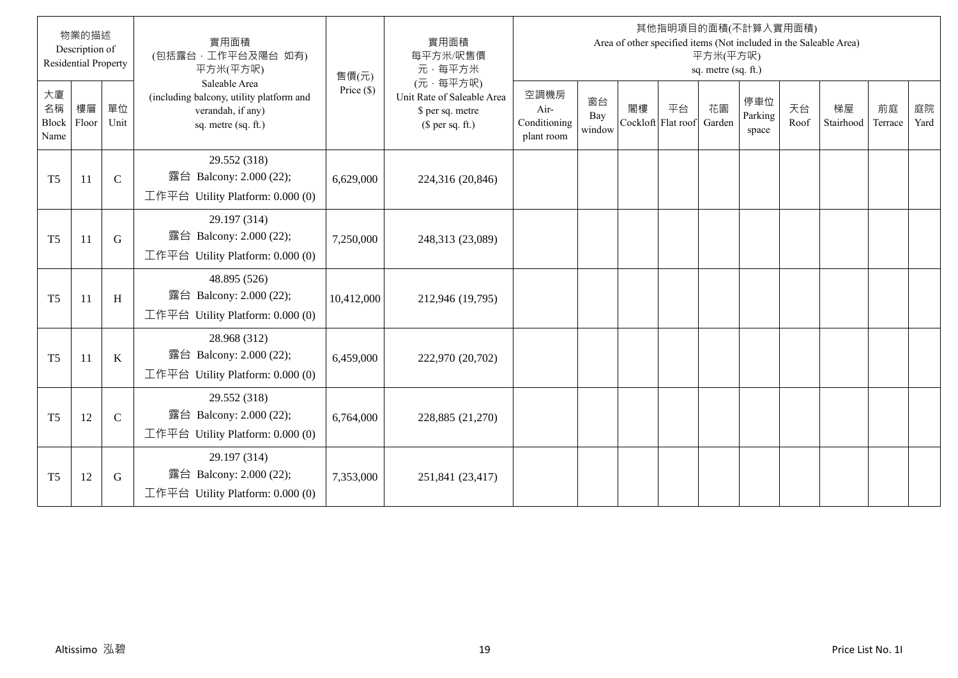|                           | 物業的描述<br>Description of<br><b>Residential Property</b> |               | 實用面積<br>(包括露台,工作平台及陽台 如有)<br>平方米(平方呎)                                                                 | 售價(元)        | 實用面積<br>每平方米/呎售價<br>元·每平方米                                                     |                                            |                     |                          |    | 平方米(平方呎)<br>sq. metre (sq. ft.) | 其他指明項目的面積(不計算入實用面積)     |            | Area of other specified items (Not included in the Saleable Area) |               |            |
|---------------------------|--------------------------------------------------------|---------------|-------------------------------------------------------------------------------------------------------|--------------|--------------------------------------------------------------------------------|--------------------------------------------|---------------------|--------------------------|----|---------------------------------|-------------------------|------------|-------------------------------------------------------------------|---------------|------------|
| 大廈<br>名稱<br>Block<br>Name | 樓層<br>Floor                                            | 單位<br>Unit    | Saleable Area<br>(including balcony, utility platform and<br>verandah, if any)<br>sq. metre (sq. ft.) | Price $(\$)$ | (元·每平方呎)<br>Unit Rate of Saleable Area<br>\$ per sq. metre<br>$$$ per sq. ft.) | 空調機房<br>Air-<br>Conditioning<br>plant room | 窗台<br>Bay<br>window | 閣樓<br>Cockloft Flat roof | 平台 | 花園<br>Garden                    | 停車位<br>Parking<br>space | 天台<br>Roof | 梯屋<br>Stairhood                                                   | 前庭<br>Terrace | 庭院<br>Yard |
| T <sub>5</sub>            | 11                                                     | $\mathcal{C}$ | 29.552 (318)<br>露台 Balcony: 2.000 (22);<br>工作平台 Utility Platform: 0.000 (0)                           | 6,629,000    | 224,316 (20,846)                                                               |                                            |                     |                          |    |                                 |                         |            |                                                                   |               |            |
| T <sub>5</sub>            | 11                                                     | G             | 29.197 (314)<br>露台 Balcony: 2.000 (22);<br>工作平台 Utility Platform: 0.000 (0)                           | 7,250,000    | 248,313 (23,089)                                                               |                                            |                     |                          |    |                                 |                         |            |                                                                   |               |            |
| T <sub>5</sub>            | 11                                                     | H             | 48.895 (526)<br>露台 Balcony: 2.000 (22);<br>工作平台 Utility Platform: 0.000 (0)                           | 10,412,000   | 212,946 (19,795)                                                               |                                            |                     |                          |    |                                 |                         |            |                                                                   |               |            |
| T <sub>5</sub>            | 11                                                     | K             | 28.968 (312)<br>露台 Balcony: 2.000 (22);<br>工作平台 Utility Platform: $0.000(0)$                          | 6,459,000    | 222,970 (20,702)                                                               |                                            |                     |                          |    |                                 |                         |            |                                                                   |               |            |
| T <sub>5</sub>            | 12                                                     | $\mathcal{C}$ | 29.552 (318)<br>露台 Balcony: 2.000 (22);<br>工作平台 Utility Platform: 0.000 (0)                           | 6,764,000    | 228,885 (21,270)                                                               |                                            |                     |                          |    |                                 |                         |            |                                                                   |               |            |
| T <sub>5</sub>            | 12                                                     | G             | 29.197 (314)<br>露台 Balcony: 2.000 (22);<br>工作平台 Utility Platform: 0.000 (0)                           | 7,353,000    | 251,841 (23,417)                                                               |                                            |                     |                          |    |                                 |                         |            |                                                                   |               |            |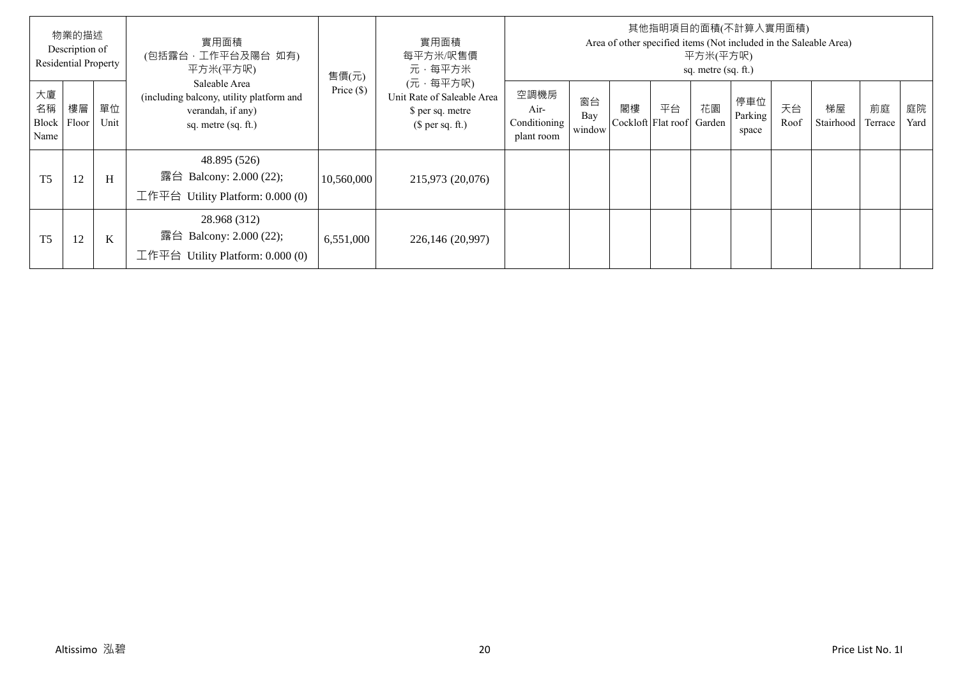|                           | 物業的描述<br>Description of<br><b>Residential Property</b> |            | 實用面積<br>(包括露台,工作平台及陽台 如有)<br>平方米(平方呎)                                                                   | 售價(元)        | 實用面積<br>每平方米/呎售價<br>元·每平方米                                                     |                                            |                     |    |                          | 平方米(平方呎)<br>sq. metre (sq. ft.) | 其他指明項目的面積(不計算入實用面積)     |            | Area of other specified items (Not included in the Saleable Area) |               |            |
|---------------------------|--------------------------------------------------------|------------|---------------------------------------------------------------------------------------------------------|--------------|--------------------------------------------------------------------------------|--------------------------------------------|---------------------|----|--------------------------|---------------------------------|-------------------------|------------|-------------------------------------------------------------------|---------------|------------|
| 大廈<br>名稱<br>Block<br>Name | 樓層<br>Floor                                            | 單位<br>Unit | Saleable Area<br>(including balcony, utility platform and<br>verandah, if any)<br>sq. metre $(sq. ft.)$ | Price $(\$)$ | (元·每平方呎)<br>Unit Rate of Saleable Area<br>\$ per sq. metre<br>$$$ per sq. ft.) | 空調機房<br>Air-<br>Conditioning<br>plant room | 窗台<br>Bay<br>window | 閣樓 | 平台<br>Cockloft Flat roof | 花園<br>Garden                    | 停車位<br>Parking<br>space | 天台<br>Roof | 梯屋<br>Stairhood                                                   | 前庭<br>Terrace | 庭院<br>Yard |
| T <sub>5</sub>            | 12                                                     | H          | 48.895 (526)<br>露台<br>Balcony: 2.000 (22);<br>工作平台 Utility Platform: $0.000(0)$                         | 10,560,000   | 215,973 (20,076)                                                               |                                            |                     |    |                          |                                 |                         |            |                                                                   |               |            |
| T <sub>5</sub>            | 12                                                     | $\bf K$    | 28.968 (312)<br>露台<br>Balcony: 2.000 (22);<br>工作平台<br>Utility Platform: 0.000 (0)                       | 6,551,000    | 226,146 (20,997)                                                               |                                            |                     |    |                          |                                 |                         |            |                                                                   |               |            |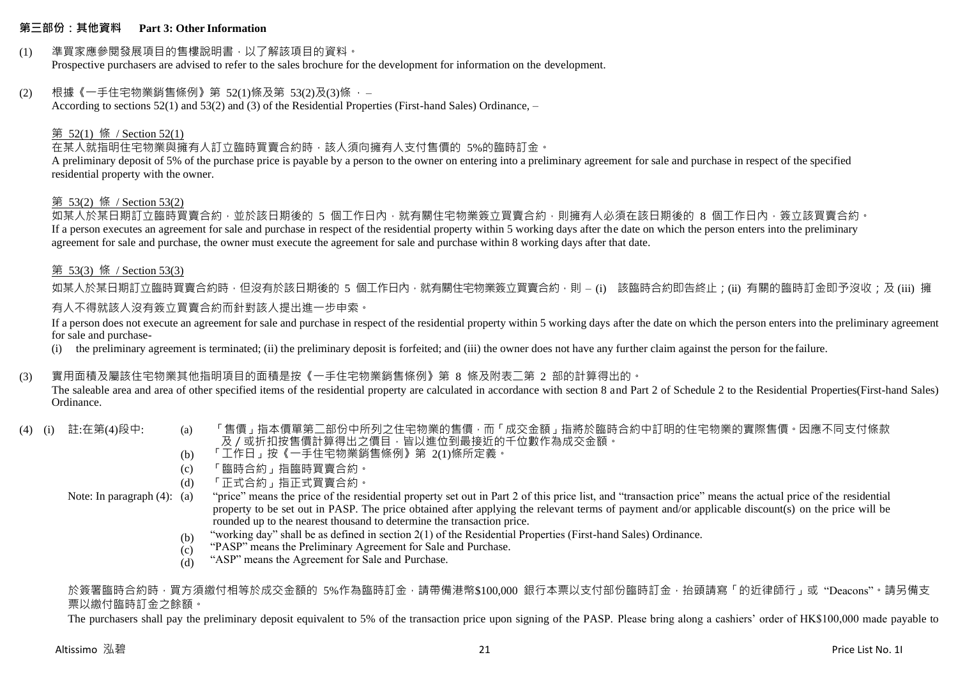## **第三部份:其他資料 Part 3: Other Information**

# (1) 準買家應參閱發展項目的售樓說明書,以了解該項目的資料。

Prospective purchasers are advised to refer to the sales brochure for the development for information on the development.

# $(2)$  根據《一手住宅物業銷售條例》第 52(1)條及第 53(2)及(3)條,

According to sections 52(1) and 53(2) and (3) of the Residential Properties (First-hand Sales) Ordinance, –

# 第 52(1) 條 / Section 52(1)

# 在某人就指明住宅物業與擁有人訂立臨時買賣合約時,該人須向擁有人支付售價的 5%的臨時訂金。

A preliminary deposit of 5% of the purchase price is payable by a person to the owner on entering into a preliminary agreement for sale and purchase in respect of the specified residential property with the owner.

#### 第 53(2) 條 / Section 53(2)

如某人於某日期訂立臨時買賣合約,並於該日期後的 5 個工作日內,就有關住宅物業簽立買賣合約,則擁有人必須在該日期後的 8 個工作日內,簽立該買賣合約。 If a person executes an agreement for sale and purchase in respect of the residential property within 5 working days after the date on which the person enters into the preliminary agreement for sale and purchase, the owner must execute the agreement for sale and purchase within 8 working days after that date.

## 第 53(3) 條 / Section 53(3)

如某人於某日期訂立臨時買賣合約時,但沒有於該日期後的 5 個工作日內,就有關住宅物業簽立買賣合約,則 – (i) 該臨時合約即告終止;(ii) 有關的臨時訂金即予沒收;及 (iii) 擁 有人不得就該人沒有簽立買賣合約而針對該人提出進一步申索。

If a person does not execute an agreement for sale and purchase in respect of the residential property within 5 working days after the date on which the person enters into the preliminary agreement for sale and purchase-

(i) the preliminary agreement is terminated; (ii) the preliminary deposit is forfeited; and (iii) the owner does not have any further claim against the person for the failure.

## (3) 實用面積及屬該住宅物業其他指明項目的面積是按《一手住宅物業銷售條例》第 8 條及附表二第 2 部的計算得出的。

The saleable area and area of other specified items of the residential property are calculated in accordance with section 8 and Part 2 of Schedule 2 to the Residential Properties(First-hand Sales) Ordinance.

- 
- (4) (i) 註:在第(4)段中: (a) 「售價」指本價單第二部份中所列之住宅物業的售價,而「成交金額」指將於臨時合約中訂明的住宅物業的實際售價。因應不同支付條款 及/或折扣按售價計算得出之價目,皆以進位到最接近的千位數作為成交金額。
	- (b) 「工作日」按《一手住宅物業銷售條例》第 2(1)條所定義。
	- (c) 「臨時合約」指臨時買賣合約。
	- (d) 「正式合約」指正式買賣合約。

Note: In paragraph (4): (a)

- "price" means the price of the residential property set out in Part 2 of this price list, and "transaction price" means the actual price of the residential property to be set out in PASP. The price obtained after applying the relevant terms of payment and/or applicable discount(s) on the price will be rounded up to the nearest thousand to determine the transaction price.
	- (b) "working day" shall be as defined in section 2(1) of the Residential Properties (First-hand Sales) Ordinance.
	- (c) "PASP" means the Preliminary Agreement for Sale and Purchase.
	- (d) "ASP" means the Agreement for Sale and Purchase.

於簽署臨時合約時,買方須繳付相等於成交金額的 5%作為臨時訂金,請帶備港幣\$100,000 銀行本票以支付部份臨時訂金,抬頭請寫「的近律師行」或"Deacons"。請另備支 票以繳付臨時訂金之餘額。

The purchasers shall pay the preliminary deposit equivalent to 5% of the transaction price upon signing of the PASP. Please bring along a cashiers' order of HK\$100,000 made payable to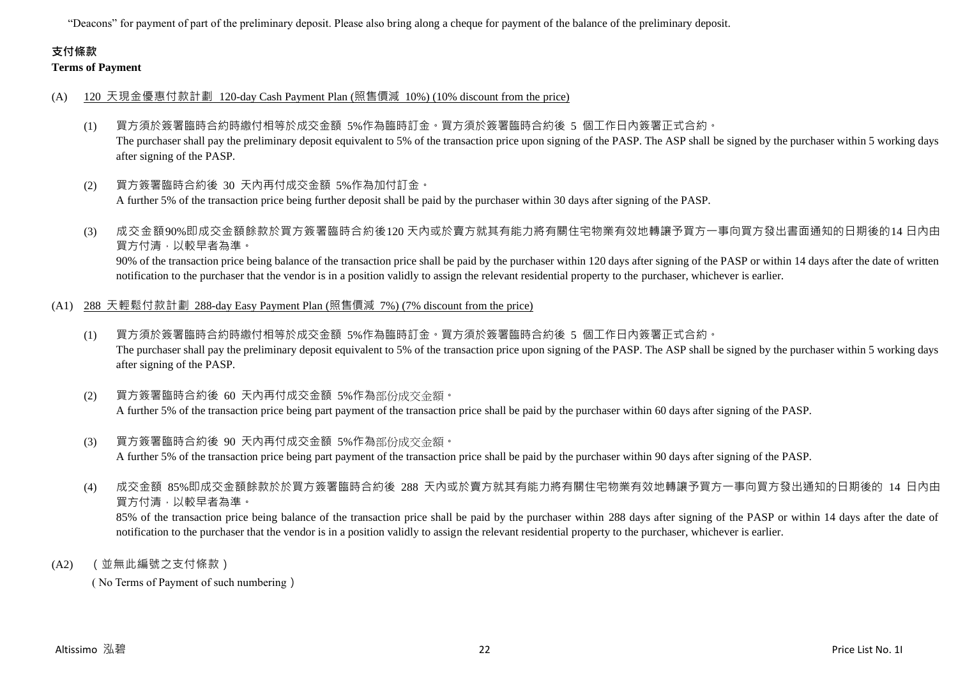"Deacons" for payment of part of the preliminary deposit. Please also bring along a cheque for payment of the balance of the preliminary deposit.

# **支付條款**

# **Terms of Payment**

- (A) 120 天現金優惠付款計劃 120-day Cash Payment Plan (照售價減 10%) (10% discount from the price)
	- (1) 買方須於簽署臨時合約時繳付相等於成交金額 5%作為臨時訂金。買方須於簽署臨時合約後 5 個工作日內簽署正式合約。 The purchaser shall pay the preliminary deposit equivalent to 5% of the transaction price upon signing of the PASP. The ASP shall be signed by the purchaser within 5 working days after signing of the PASP.
	- (2) 買方簽署臨時合約後 30 天內再付成交金額 5%作為加付訂金。 A further 5% of the transaction price being further deposit shall be paid by the purchaser within 30 days after signing of the PASP.
	- (3) 成交金額90%即成交金額餘款於買方簽署臨時合約後120 天內或於賣方就其有能力將有關住宅物業有效地轉讓予買方一事向買方發出書面通知的日期後的14 日內由 買方付清,以較早者為準。 90% of the transaction price being balance of the transaction price shall be paid by the purchaser within 120 days after signing of the PASP or within 14 days after the date of written notification to the purchaser that the vendor is in a position validly to assign the relevant residential property to the purchaser, whichever is earlier.
- (A1) 288 天輕鬆付款計劃 288-day Easy Payment Plan (照售價減 7%) (7% discount from the price)
	- (1) 買方須於簽署臨時合約時繳付相等於成交金額 5%作為臨時訂金。買方須於簽署臨時合約後 5 個工作日內簽署正式合約。 The purchaser shall pay the preliminary deposit equivalent to 5% of the transaction price upon signing of the PASP. The ASP shall be signed by the purchaser within 5 working days after signing of the PASP.
	- (2) 買方簽署臨時合約後 60 天內再付成交金額 5%作為部份成交金額。 A further 5% of the transaction price being part payment of the transaction price shall be paid by the purchaser within 60 days after signing of the PASP.
	- (3) 買方簽署臨時合約後 90 天內再付成交金額 5%作為部份成交金額。 A further 5% of the transaction price being part payment of the transaction price shall be paid by the purchaser within 90 days after signing of the PASP.
	- (4) 成交金額 85%即成交金額餘款於於買方簽署臨時合約後 288 天內或於賣方就其有能力將有關住宅物業有效地轉讓予買方一事向買方發出通知的日期後的 14 日內由 買方付清,以較早者為準。 85% of the transaction price being balance of the transaction price shall be paid by the purchaser within 288 days after signing of the PASP or within 14 days after the date of notification to the purchaser that the vendor is in a position validly to assign the relevant residential property to the purchaser, whichever is earlier.
- (A2) (並無此編號之支付條款)

( No Terms of Payment of such numbering)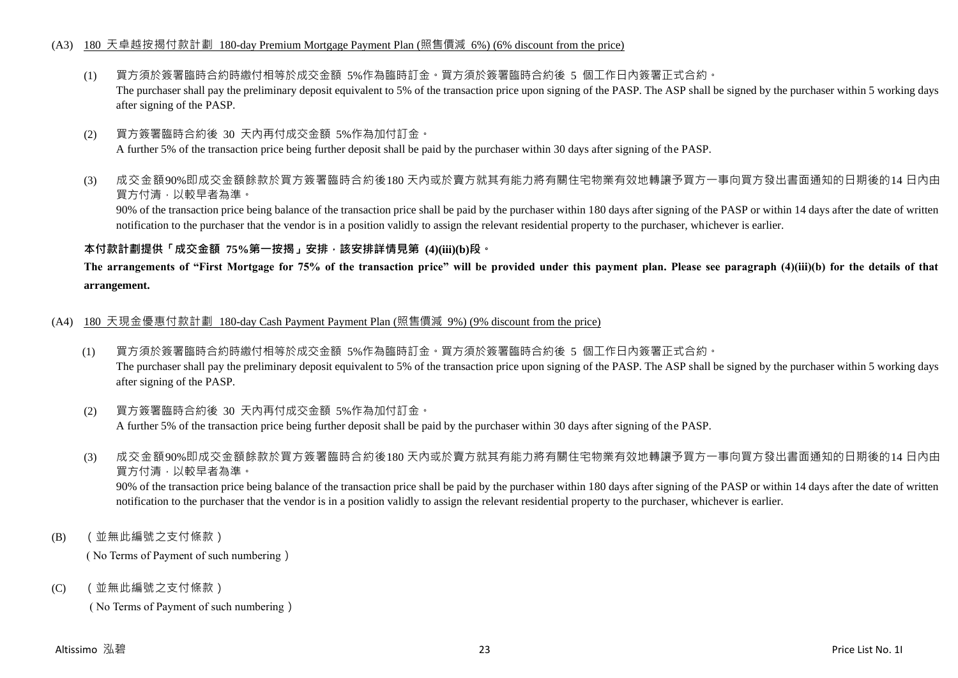## (A3) 180 天卓越按揭付款計劃 180-day Premium Mortgage Payment Plan (照售價減 6%) (6% discount from the price)

- (1) 買方須於簽署臨時合約時繳付相等於成交金額 5%作為臨時訂金。買方須於簽署臨時合約後 5 個工作日內簽署正式合約。 The purchaser shall pay the preliminary deposit equivalent to 5% of the transaction price upon signing of the PASP. The ASP shall be signed by the purchaser within 5 working days after signing of the PASP.
- (2) 買方簽署臨時合約後 30 天內再付成交金額 5%作為加付訂金。

A further 5% of the transaction price being further deposit shall be paid by the purchaser within 30 days after signing of the PASP.

(3) 成交金額90%即成交金額餘款於買方簽署臨時合約後180 天內或於賣方就其有能力將有關住宅物業有效地轉讓予買方一事向買方發出書面通知的日期後的14 日內由 買方付清,以較早者為準。

90% of the transaction price being balance of the transaction price shall be paid by the purchaser within 180 days after signing of the PASP or within 14 days after the date of written notification to the purchaser that the vendor is in a position validly to assign the relevant residential property to the purchaser, whichever is earlier.

## **本付款計劃提供「成交金額 75%第一按揭」安排,該安排詳情見第 (4)(iii)(b)段。**

**The arrangements of "First Mortgage for 75% of the transaction price" will be provided under this payment plan. Please see paragraph (4)(iii)(b) for the details of that arrangement.**

- (A4) 180 天現金優惠付款計劃 180-day Cash Payment Payment Plan (照售價減 9%) (9% discount from the price)
	- (1) 買方須於簽署臨時合約時繳付相等於成交金額 5%作為臨時訂金。買方須於簽署臨時合約後 5 個工作日內簽署正式合約。 The purchaser shall pay the preliminary deposit equivalent to 5% of the transaction price upon signing of the PASP. The ASP shall be signed by the purchaser within 5 working days after signing of the PASP.
	- (2) 買方簽署臨時合約後 30 天內再付成交金額 5%作為加付訂金。 A further 5% of the transaction price being further deposit shall be paid by the purchaser within 30 days after signing of the PASP.
	- (3) 成交金額90%即成交金額餘款於買方簽署臨時合約後180 天內或於賣方就其有能力將有關住宅物業有效地轉讓予買方一事向買方發出書面通知的日期後的14 日內由 買方付清,以較早者為準。

90% of the transaction price being balance of the transaction price shall be paid by the purchaser within 180 days after signing of the PASP or within 14 days after the date of written notification to the purchaser that the vendor is in a position validly to assign the relevant residential property to the purchaser, whichever is earlier.

(B) (並無此編號之支付條款)

( No Terms of Payment of such numbering)

(C) (並無此編號之支付條款)

( No Terms of Payment of such numbering)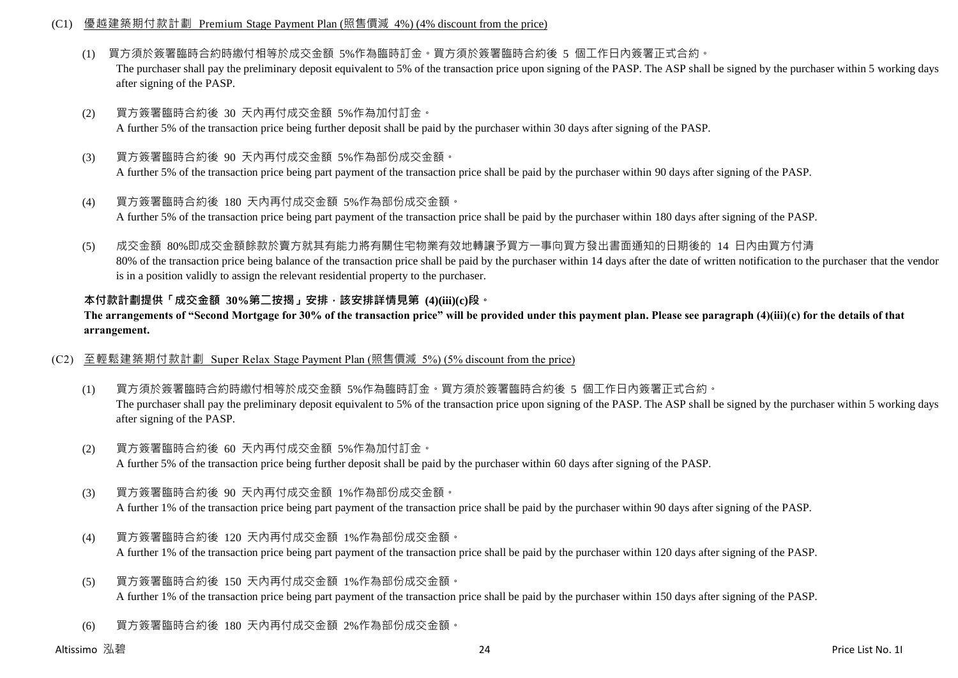## (C1) 優越建築期付款計劃 Premium Stage Payment Plan (照售價減 4%) (4% discount from the price)

- (1) 買方須於簽署臨時合約時繳付相等於成交金額 5%作為臨時訂金。買方須於簽署臨時合約後 5 個工作日內簽署正式合約。 The purchaser shall pay the preliminary deposit equivalent to 5% of the transaction price upon signing of the PASP. The ASP shall be signed by the purchaser within 5 working days after signing of the PASP.
- (2) 買方簽署臨時合約後 30 天內再付成交金額 5%作為加付訂金。 A further 5% of the transaction price being further deposit shall be paid by the purchaser within 30 days after signing of the PASP.
- (3) 買方簽署臨時合約後 90 天內再付成交金額 5%作為部份成交金額。 A further 5% of the transaction price being part payment of the transaction price shall be paid by the purchaser within 90 days after signing of the PASP.
- (4) 買方簽署臨時合約後 180 天內再付成交金額 5%作為部份成交金額。 A further 5% of the transaction price being part payment of the transaction price shall be paid by the purchaser within 180 days after signing of the PASP.
- (5) 成交金額 80%即成交金額餘款於賣方就其有能力將有關住宅物業有效地轉讓予買方一事向買方發出書面通知的日期後的 14 日內由買方付清 80% of the transaction price being balance of the transaction price shall be paid by the purchaser within 14 days after the date of written notification to the purchaser that the vendor is in a position validly to assign the relevant residential property to the purchaser.

# **本付款計劃提供「成交金額 30%第二按揭」安排,該安排詳情見第 (4)(iii)(c)段。**

**The arrangements of "Second Mortgage for 30% of the transaction price" will be provided under this payment plan. Please see paragraph (4)(iii)(c) for the details of that arrangement.**

## (C2) 至輕鬆建築期付款計劃 Super Relax Stage Payment Plan (照售價減 5%) (5% discount from the price)

- (1) 買方須於簽署臨時合約時繳付相等於成交金額 5%作為臨時訂金。買方須於簽署臨時合約後 5 個工作日內簽署正式合約。 The purchaser shall pay the preliminary deposit equivalent to 5% of the transaction price upon signing of the PASP. The ASP shall be signed by the purchaser within 5 working days after signing of the PASP.
- (2) 買方簽署臨時合約後 60 天內再付成交金額 5%作為加付訂金。 A further 5% of the transaction price being further deposit shall be paid by the purchaser within 60 days after signing of the PASP.
- (3) 買方簽署臨時合約後 90 天內再付成交金額 1%作為部份成交金額。 A further 1% of the transaction price being part payment of the transaction price shall be paid by the purchaser within 90 days after signing of the PASP.
- (4) 買方簽署臨時合約後 120 天內再付成交金額 1%作為部份成交金額。 A further 1% of the transaction price being part payment of the transaction price shall be paid by the purchaser within 120 days after signing of the PASP.
- (5) 買方簽署臨時合約後 150 天內再付成交金額 1%作為部份成交金額。 A further 1% of the transaction price being part payment of the transaction price shall be paid by the purchaser within 150 days after signing of the PASP.
- (6) 買方簽署臨時合約後 180 天內再付成交金額 2%作為部份成交金額。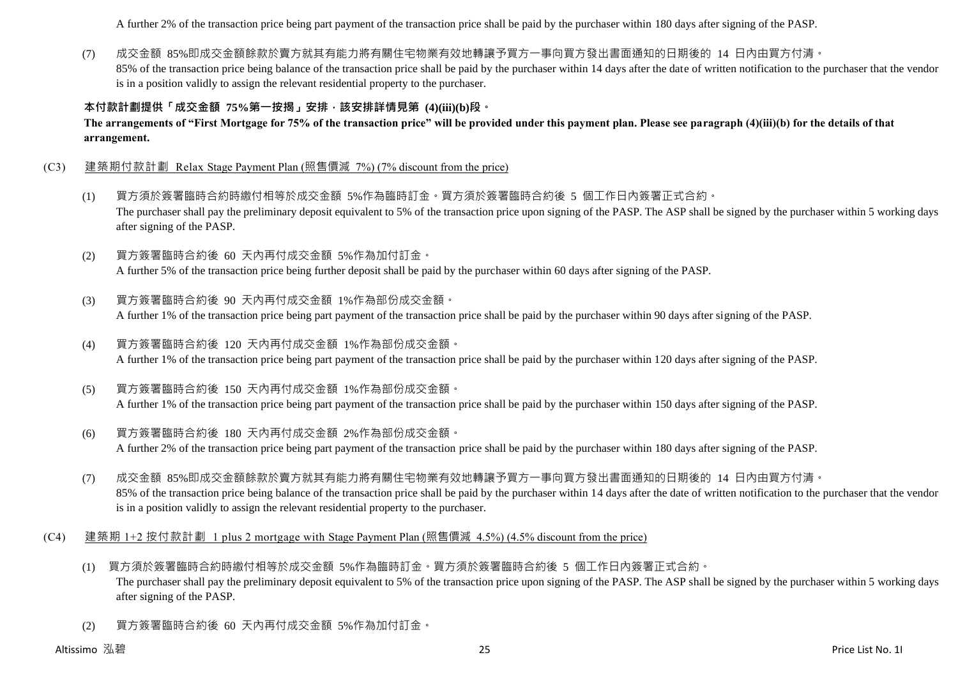A further 2% of the transaction price being part payment of the transaction price shall be paid by the purchaser within 180 days after signing of the PASP.

(7) 成交金額 85%即成交金額餘款於賣方就其有能力將有關住宅物業有效地轉讓予買方一事向買方發出書面通知的日期後的 14 日內由買方付清。 85% of the transaction price being balance of the transaction price shall be paid by the purchaser within 14 days after the date of written notification to the purchaser that the vendor is in a position validly to assign the relevant residential property to the purchaser.

# **本付款計劃提供「成交金額 75%第一按揭」安排,該安排詳情見第 (4)(iii)(b)段。**

**The arrangements of "First Mortgage for 75% of the transaction price" will be provided under this payment plan. Please see paragraph (4)(iii)(b) for the details of that arrangement.**

- (C3) 建築期付款計劃 Relax Stage Payment Plan (照售價減 7%) (7% discount from the price)
	- (1) 買方須於簽署臨時合約時繳付相等於成交金額 5%作為臨時訂金。買方須於簽署臨時合約後 5 個工作日內簽署正式合約。 The purchaser shall pay the preliminary deposit equivalent to 5% of the transaction price upon signing of the PASP. The ASP shall be signed by the purchaser within 5 working days after signing of the PASP.
	- (2) 買方簽署臨時合約後 60 天內再付成交金額 5%作為加付訂金。 A further 5% of the transaction price being further deposit shall be paid by the purchaser within 60 days after signing of the PASP.
	- (3) 買方簽署臨時合約後 90 天內再付成交金額 1%作為部份成交金額。 A further 1% of the transaction price being part payment of the transaction price shall be paid by the purchaser within 90 days after signing of the PASP.
	- (4) 買方簽署臨時合約後 120 天內再付成交金額 1%作為部份成交金額。 A further 1% of the transaction price being part payment of the transaction price shall be paid by the purchaser within 120 days after signing of the PASP.
	- (5) 買方簽署臨時合約後 150 天內再付成交金額 1%作為部份成交金額。 A further 1% of the transaction price being part payment of the transaction price shall be paid by the purchaser within 150 days after signing of the PASP.
	- (6) 買方簽署臨時合約後 180 天內再付成交金額 2%作為部份成交金額。 A further 2% of the transaction price being part payment of the transaction price shall be paid by the purchaser within 180 days after signing of the PASP.
	- (7) 成交金額 85%即成交金額餘款於賣方就其有能力將有關住宅物業有效地轉讓予買方一事向買方發出書面通知的日期後的 14 日內由買方付清。 85% of the transaction price being balance of the transaction price shall be paid by the purchaser within 14 days after the date of written notification to the purchaser that the vendor is in a position validly to assign the relevant residential property to the purchaser.
- (C4) 建築期 1+2 按付款計劃 1 plus 2 mortgage with Stage Payment Plan (照售價減 4.5%) (4.5% discount from the price)
	- (1) 買方須於簽署臨時合約時繳付相等於成交金額 5%作為臨時訂金。買方須於簽署臨時合約後 5 個工作日內簽署正式合約。 The purchaser shall pay the preliminary deposit equivalent to 5% of the transaction price upon signing of the PASP. The ASP shall be signed by the purchaser within 5 working days after signing of the PASP.
	- (2) 買方簽署臨時合約後 60 天內再付成交金額 5%作為加付訂金。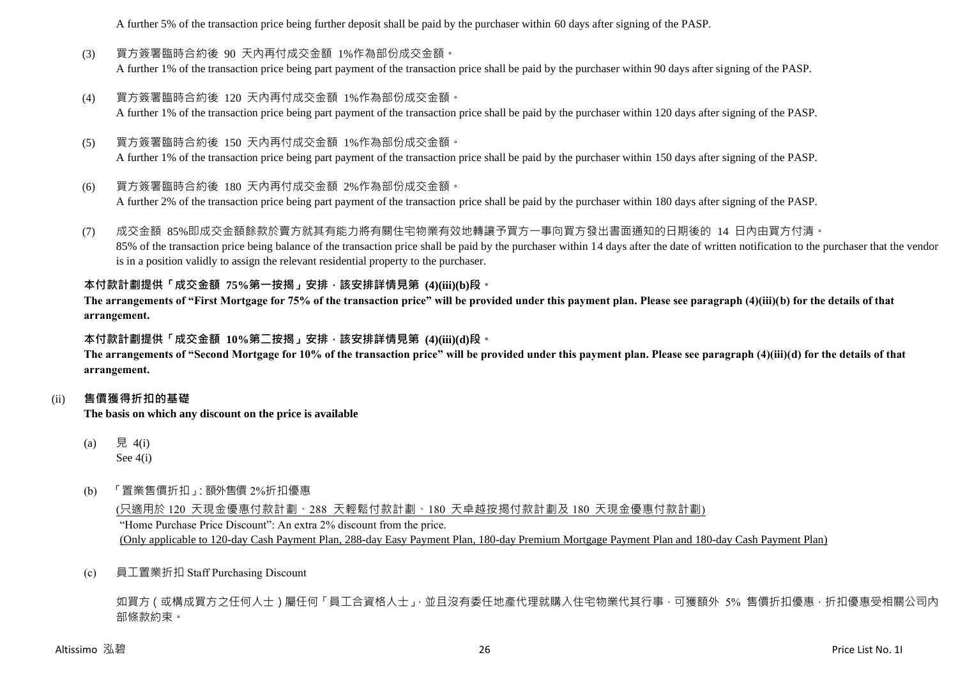A further 5% of the transaction price being further deposit shall be paid by the purchaser within 60 days after signing of the PASP.

- (3) 買方簽署臨時合約後 90 天內再付成交金額 1%作為部份成交金額。 A further 1% of the transaction price being part payment of the transaction price shall be paid by the purchaser within 90 days after signing of the PASP.
- (4) 買方簽署臨時合約後 120 天內再付成交金額 1%作為部份成交金額。 A further 1% of the transaction price being part payment of the transaction price shall be paid by the purchaser within 120 days after signing of the PASP.
- (5) 買方簽署臨時合約後 150 天內再付成交金額 1%作為部份成交金額。 A further 1% of the transaction price being part payment of the transaction price shall be paid by the purchaser within 150 days after signing of the PASP.
- (6) 買方簽署臨時合約後 180 天內再付成交金額 2%作為部份成交金額。 A further 2% of the transaction price being part payment of the transaction price shall be paid by the purchaser within 180 days after signing of the PASP.
- (7) 成交金額 85%即成交金額餘款於賣方就其有能力將有關住宅物業有效地轉讓予買方一事向買方發出書面通知的日期後的 14 日內由買方付清。 85% of the transaction price being balance of the transaction price shall be paid by the purchaser within 14 days after the date of written notification to the purchaser that the vendor is in a position validly to assign the relevant residential property to the purchaser.

# **本付款計劃提供「成交金額 75%第一按揭」安排,該安排詳情見第 (4)(iii)(b)段。**

**The arrangements of "First Mortgage for 75% of the transaction price" will be provided under this payment plan. Please see paragraph (4)(iii)(b) for the details of that arrangement.**

## **本付款計劃提供「成交金額 10%第二按揭」安排,該安排詳情見第 (4)(iii)(d)段。**

**The arrangements of "Second Mortgage for 10% of the transaction price" will be provided under this payment plan. Please see paragraph (4)(iii)(d) for the details of that arrangement.**

## (ii) **售價獲得折扣的基礎**

**The basis on which any discount on the price is available**

- (a) 見 4(i) See 4(i)
- (b) 「置業售價折扣」:額外售價 2%折扣優惠

(只適用於 120 天現金優惠付款計劃、288 天輕鬆付款計劃、180 天卓越按揭付款計劃及 180 天現金優惠付款計劃) "Home Purchase Price Discount": An extra 2% discount from the price. (Only applicable to 120-day Cash Payment Plan, 288-day Easy Payment Plan, 180-day Premium Mortgage Payment Plan and 180-day Cash Payment Plan)

(c) 員工置業折扣 Staff Purchasing Discount

如買方(或構成買方之任何人士)屬任何「員工合資格人士」,並且沒有委任地產代理就購入住宅物業代其行事,可獲額外 5% 售價折扣優惠,折扣優惠受相關公司內 部條款約束。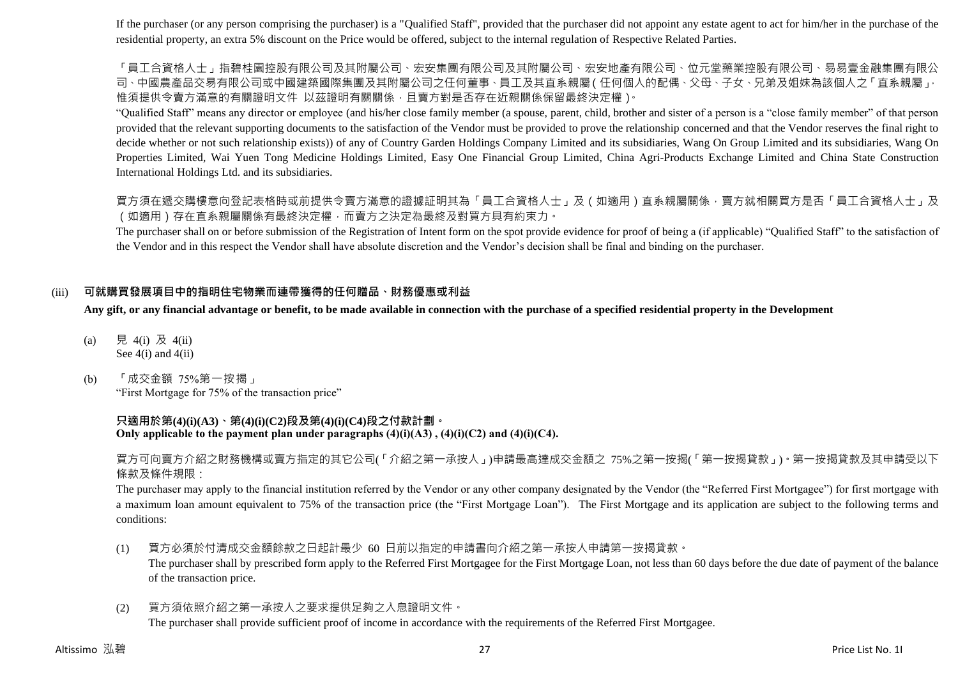If the purchaser (or any person comprising the purchaser) is a "Qualified Staff", provided that the purchaser did not appoint any estate agent to act for him/her in the purchase of the residential property, an extra 5% discount on the Price would be offered, subject to the internal regulation of Respective Related Parties.

「員工合資格人士」指碧桂園控股有限公司及其附屬公司、宏安集團有限公司及其附屬公司、宏安地產有限公司、位元堂藥業控股有限公司、易易壹金融集團有限公 司、中國農產品交易有限公司或中國建築國際集團及其附屬公司之任何董事、員工及其直系親屬(任何個人的配偶、父母、子女、兄弟及姐妹為該個人之「直系親屬」, 惟須提供令賣方滿意的有關證明文件 以茲證明有關關係,且賣方對是否存在近親關係保留最終決定權)。

"Qualified Staff" means any director or employee (and his/her close family member (a spouse, parent, child, brother and sister of a person is a "close family member" of that person provided that the relevant supporting documents to the satisfaction of the Vendor must be provided to prove the relationship concerned and that the Vendor reserves the final right to decide whether or not such relationship exists)) of any of Country Garden Holdings Company Limited and its subsidiaries, Wang On Group Limited and its subsidiaries, Wang On Properties Limited, Wai Yuen Tong Medicine Holdings Limited, Easy One Financial Group Limited, China Agri-Products Exchange Limited and China State Construction International Holdings Ltd. and its subsidiaries.

買方須在遞交購樓意向登記表格時或前提供令賣方滿意的證據証明其為「員工合資格人士」及(如適用)直系親屬關係,賣方就相關買方是否「員工合資格人士」及 (如適用)存在直系親屬關係有最終決定權,而賣方之決定為最終及對買方具有約束力。

The purchaser shall on or before submission of the Registration of Intent form on the spot provide evidence for proof of being a (if applicable) "Qualified Staff" to the satisfaction of the Vendor and in this respect the Vendor shall have absolute discretion and the Vendor's decision shall be final and binding on the purchaser.

# (iii) **可就購買發展項目中的指明住宅物業而連帶獲得的任何贈品、財務優惠或利益**

**Any gift, or any financial advantage or benefit, to be made available in connection with the purchase of a specified residential property in the Development**

- (a) 見 4(i) 及 4(ii) See 4(i) and 4(ii)
- (b) 「成交金額 75%第一按揭」 "First Mortgage for 75% of the transaction price"

## **只適用於第(4)(i)(A3)、第(4)(i)(C2)段及第(4)(i)(C4)段之付款計劃。 Only applicable to the payment plan under paragraphs (4)(i)(A3) , (4)(i)(C2) and (4)(i)(C4).**

買方可向賣方介紹之財務機構或賣方指定的其它公司(「介紹之第一承按人」)申請最高達成交金額之 75%之第一按揭(「第一按揭貸款」)。第一按揭貸款及其申請受以下 條款及條件規限:

The purchaser may apply to the financial institution referred by the Vendor or any other company designated by the Vendor (the "Referred First Mortgagee") for first mortgage with a maximum loan amount equivalent to 75% of the transaction price (the "First Mortgage Loan"). The First Mortgage and its application are subject to the following terms and conditions:

- (1) 買方必須於付清成交金額餘款之日起計最少 60 日前以指定的申請書向介紹之第一承按人申請第一按揭貸款。 The purchaser shall by prescribed form apply to the Referred First Mortgagee for the First Mortgage Loan, not less than 60 days before the due date of payment of the balance of the transaction price.
- (2) 買方須依照介紹之第一承按人之要求提供足夠之入息證明文件。 The purchaser shall provide sufficient proof of income in accordance with the requirements of the Referred First Mortgagee.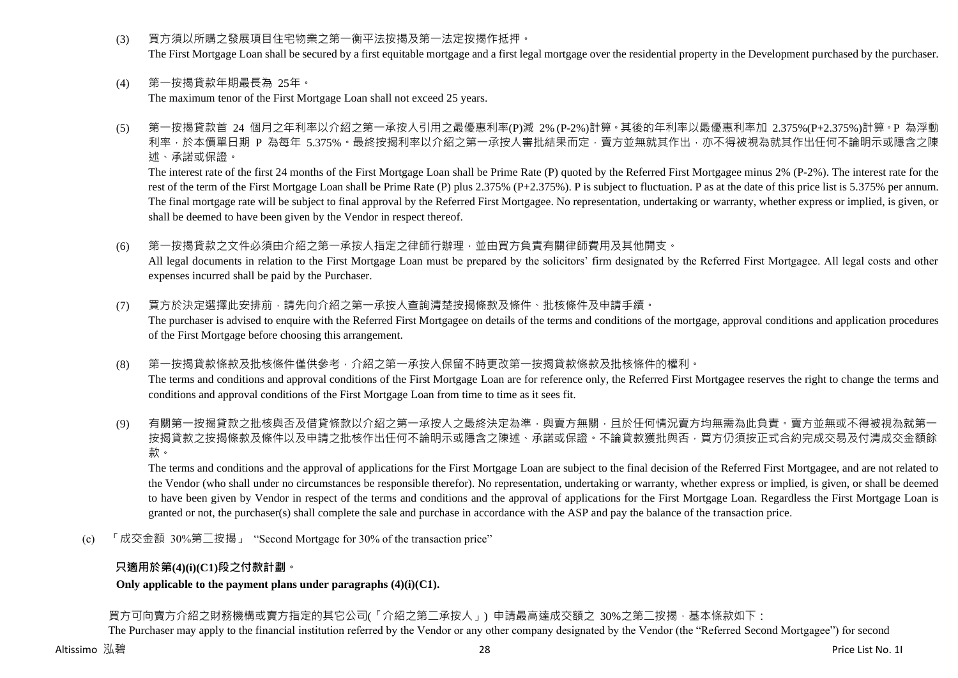(3) 買方須以所購之發展項目住宅物業之第一衡平法按揭及第一法定按揭作抵押。

The First Mortgage Loan shall be secured by a first equitable mortgage and a first legal mortgage over the residential property in the Development purchased by the purchaser.

- (4) 第一按揭貸款年期最長為 25年。 The maximum tenor of the First Mortgage Loan shall not exceed 25 years.
- (5) 第一按揭貸款首 24 個月之年利率以介紹之第一承按人引用之最優惠利率(P)減 2% (P-2%)計算。其後的年利率以最優惠利率加 2.375%(P+2.375%)計算。P 為浮動 利率,於本價單日期 P 為每年 5.375%。最終按揭利率以介紹之第一承按人審批結果而定,賣方並無就其作出,亦不得被視為就其作出任何不論明示或隱含之陳 述、承諾或保證。

The interest rate of the first 24 months of the First Mortgage Loan shall be Prime Rate (P) quoted by the Referred First Mortgagee minus 2% (P-2%). The interest rate for the rest of the term of the First Mortgage Loan shall be Prime Rate (P) plus 2.375% (P+2.375%). P is subject to fluctuation. P as at the date of this price list is 5.375% per annum. The final mortgage rate will be subject to final approval by the Referred First Mortgagee. No representation, undertaking or warranty, whether express or implied, is given, or shall be deemed to have been given by the Vendor in respect thereof.

(6) 第一按揭貸款之文件必須由介紹之第一承按人指定之律師行辦理,並由買方負責有關律師費用及其他開支。

All legal documents in relation to the First Mortgage Loan must be prepared by the solicitors' firm designated by the Referred First Mortgagee. All legal costs and other expenses incurred shall be paid by the Purchaser.

(7) 買方於決定選擇此安排前,請先向介紹之第一承按人查詢清楚按揭條款及條件、批核條件及申請手續。

The purchaser is advised to enquire with the Referred First Mortgagee on details of the terms and conditions of the mortgage, approval conditions and application procedures of the First Mortgage before choosing this arrangement.

- (8) 第一按揭貸款條款及批核條件僅供參考,介紹之第一承按人保留不時更改第一按揭貸款條款及批核條件的權利。 The terms and conditions and approval conditions of the First Mortgage Loan are for reference only, the Referred First Mortgagee reserves the right to change the terms and conditions and approval conditions of the First Mortgage Loan from time to time as it sees fit.
- (9) 有關第一按揭貸款之批核與否及借貸條款以介紹之第一承按人之最終決定為準,與賣方無關,且於任何情況賣方均無需為此負責。賣方並無或不得被視為就第一 按揭貸款之按揭條款及條件以及申請之批核作出任何不論明示或隱含之陳述、承諾或保證。不論貸款獲批與否,買方仍須按正式合約完成交易及付清成交金額餘 款。

The terms and conditions and the approval of applications for the First Mortgage Loan are subject to the final decision of the Referred First Mortgagee, and are not related to the Vendor (who shall under no circumstances be responsible therefor). No representation, undertaking or warranty, whether express or implied, is given, or shall be deemed to have been given by Vendor in respect of the terms and conditions and the approval of applications for the First Mortgage Loan. Regardless the First Mortgage Loan is granted or not, the purchaser(s) shall complete the sale and purchase in accordance with the ASP and pay the balance of the transaction price.

(c) 「成交金額 30%第二按揭」 "Second Mortgage for 30% of the transaction price"

# **只適用於第(4)(i)(C1)段之付款計劃。**

## **Only applicable to the payment plans under paragraphs (4)(i)(C1).**

買方可向賣方介紹之財務機構或賣方指定的其它公司(「介紹之第二承按人」) 申請最高達成交額之 30%之第二按揭,基本條款如下:

The Purchaser may apply to the financial institution referred by the Vendor or any other company designated by the Vendor (the "Referred Second Mortgagee") for second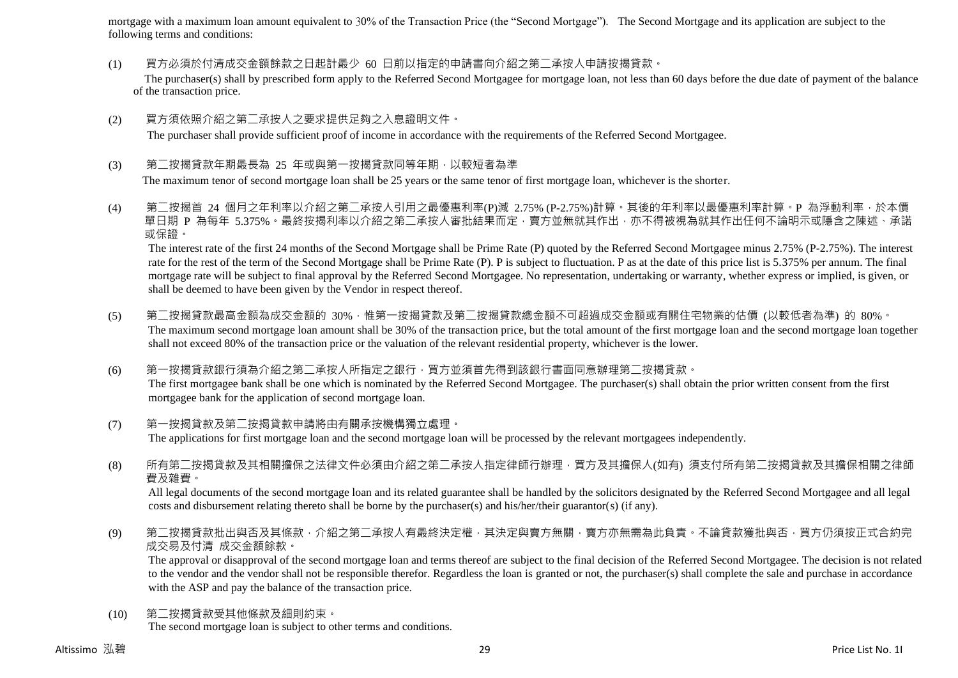mortgage with a maximum loan amount equivalent to 30% of the Transaction Price (the "Second Mortgage"). The Second Mortgage and its application are subject to the following terms and conditions:

(1) 買方必須於付清成交金額餘款之日起計最少 60 日前以指定的申請書向介紹之第二承按人申請按揭貸款。

The purchaser(s) shall by prescribed form apply to the Referred Second Mortgagee for mortgage loan, not less than 60 days before the due date of payment of the balance of the transaction price.

- (2) 買方須依照介紹之第二承按人之要求提供足夠之入息證明文件。 The purchaser shall provide sufficient proof of income in accordance with the requirements of the Referred Second Mortgagee.
- (3) 第二按揭貸款年期最長為 25 年或與第一按揭貸款同等年期,以較短者為準

The maximum tenor of second mortgage loan shall be 25 years or the same tenor of first mortgage loan, whichever is the shorter.

(4) 第二按揭首 24 個月之年利率以介紹之第二承按人引用之最優惠利率(P)減 2.75% (P-2.75%)計算。其後的年利率以最優惠利率計算。P 為浮動利率,於本價 單日期 P 為每年 5.375%。最終按揭利率以介紹之第二承按人審批結果而定,賣方並無就其作出,亦不得被視為就其作出任何不論明示或隱含之陳述、承諾 或保證。

The interest rate of the first 24 months of the Second Mortgage shall be Prime Rate (P) quoted by the Referred Second Mortgagee minus 2.75% (P-2.75%). The interest rate for the rest of the term of the Second Mortgage shall be Prime Rate (P). P is subject to fluctuation. P as at the date of this price list is 5.375% per annum. The final mortgage rate will be subject to final approval by the Referred Second Mortgagee. No representation, undertaking or warranty, whether express or implied, is given, or shall be deemed to have been given by the Vendor in respect thereof.

- (5) 第二按揭貸款最高金額為成交金額的 30%,惟第一按揭貸款及第二按揭貸款總金額不可超過成交金額或有關住宅物業的估價 (以較低者為準) 的 80%。 The maximum second mortgage loan amount shall be 30% of the transaction price, but the total amount of the first mortgage loan and the second mortgage loan together shall not exceed 80% of the transaction price or the valuation of the relevant residential property, whichever is the lower.
- (6) 第一按揭貸款銀行須為介紹之第二承按人所指定之銀行,買方並須首先得到該銀行書面同意辦理第二按揭貸款。 The first mortgagee bank shall be one which is nominated by the Referred Second Mortgagee. The purchaser(s) shall obtain the prior written consent from the first mortgagee bank for the application of second mortgage loan.
- (7) 第一按揭貸款及第二按揭貸款申請將由有關承按機構獨立處理。 The applications for first mortgage loan and the second mortgage loan will be processed by the relevant mortgagees independently.
- (8) 所有第二按揭貸款及其相關擔保之法律文件必須由介紹之第二承按人指定律師行辦理,買方及其擔保人(如有) 須支付所有第二按揭貸款及其擔保相關之律師 費及雜費。

All legal documents of the second mortgage loan and its related guarantee shall be handled by the solicitors designated by the Referred Second Mortgagee and all legal costs and disbursement relating thereto shall be borne by the purchaser(s) and his/her/their guarantor(s) (if any).

(9) 第二按揭貸款批出與否及其條款, 介紹之第二承按人有最終決定權, 其決定與賣方無關, 賣方亦無需為此負責。不論貸款獲批與否, 買方仍須按正式合約完 成交易及付清 成交金額餘款。

The approval or disapproval of the second mortgage loan and terms thereof are subject to the final decision of the Referred Second Mortgagee. The decision is not related to the vendor and the vendor shall not be responsible therefor. Regardless the loan is granted or not, the purchaser(s) shall complete the sale and purchase in accordance with the ASP and pay the balance of the transaction price.

(10) 第二按揭貸款受其他條款及細則約束。 The second mortgage loan is subject to other terms and conditions.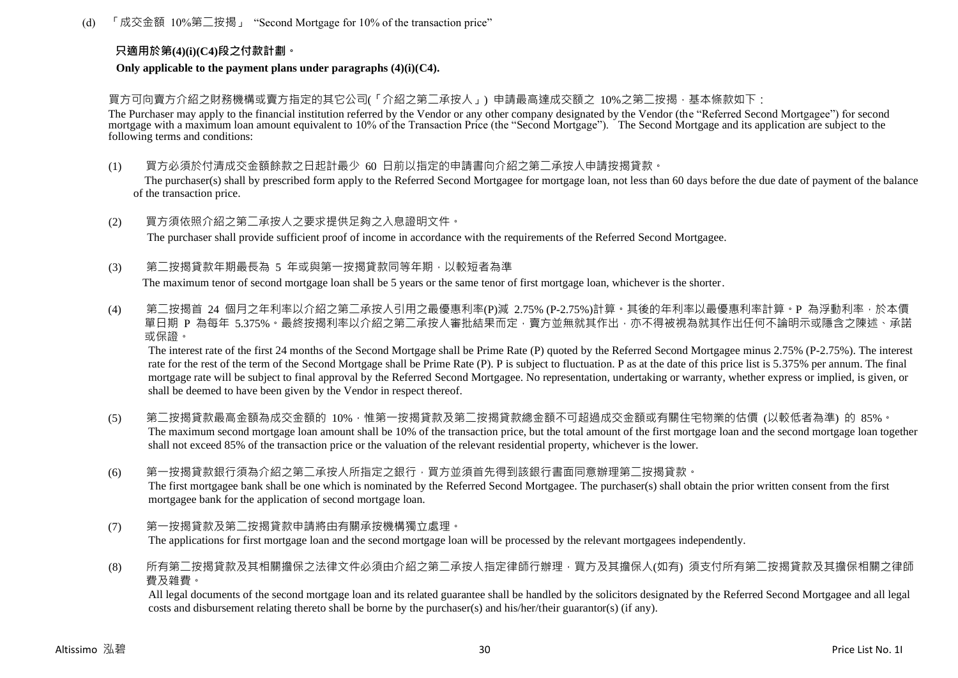(d) 「成交金額 10%第二按揭」 "Second Mortgage for 10% of the transaction price"

## **只適用於第(4)(i)(C4)段之付款計劃。**

**Only applicable to the payment plans under paragraphs (4)(i)(C4).**

買方可向賣方介紹之財務機構或賣方指定的其它公司(「介紹之第二承按人」) 申請最高達成交額之 10%之第二按揭,基本條款如下:

The Purchaser may apply to the financial institution referred by the Vendor or any other company designated by the Vendor (the "Referred Second Mortgagee") for second mortgage with a maximum loan amount equivalent to 10% of the Transaction Price (the "Second Mortgage"). The Second Mortgage and its application are subject to the following terms and conditions:

- (1) 買方必須於付清成交金額餘款之日起計最少 60 日前以指定的申請書向介紹之第二承按人申請按揭貸款。 The purchaser(s) shall by prescribed form apply to the Referred Second Mortgagee for mortgage loan, not less than 60 days before the due date of payment of the balance of the transaction price.
- (2) 買方須依照介紹之第二承按人之要求提供足夠之入息證明文件。 The purchaser shall provide sufficient proof of income in accordance with the requirements of the Referred Second Mortgagee.
- (3) 第二按揭貸款年期最長為 5 年或與第一按揭貸款同等年期,以較短者為準

The maximum tenor of second mortgage loan shall be 5 years or the same tenor of first mortgage loan, whichever is the shorter.

(4) 第二按揭首 24 個月之年利率以介紹之第二承按人引用之最優惠利率(P)減 2.75% (P-2.75%)計算。其後的年利率以最優惠利率計算。P 為浮動利率,於本價 。<br>單日期 P 為每年 5.375%。最終按揭利率以介紹之第二承按人審批結果而定,賣方並無就其作出,亦不得被視為就其作出任何不論明示或隱含之陳述、承諾 或保證。

The interest rate of the first 24 months of the Second Mortgage shall be Prime Rate (P) quoted by the Referred Second Mortgagee minus 2.75% (P-2.75%). The interest rate for the rest of the term of the Second Mortgage shall be Prime Rate (P). P is subject to fluctuation. P as at the date of this price list is 5.375% per annum. The final mortgage rate will be subject to final approval by the Referred Second Mortgagee. No representation, undertaking or warranty, whether express or implied, is given, or shall be deemed to have been given by the Vendor in respect thereof.

- (5) 第<sup>一</sup>按揭貸款最高金額為成交金額的 10%,惟第一按揭貸款及第<sup>一</sup>按揭貸款總金額不可超過成交金額或有關住宅物業的估價 (以較低者為進) 的 85%。 The maximum second mortgage loan amount shall be 10% of the transaction price, but the total amount of the first mortgage loan and the second mortgage loan together shall not exceed 85% of the transaction price or the valuation of the relevant residential property, whichever is the lower.
- (6) 第一按揭貸款銀行須為介紹之第二承按人所指定之銀行,買方並須首先得到該銀行書面同意辦理第二按揭貸款。 The first mortgagee bank shall be one which is nominated by the Referred Second Mortgagee. The purchaser(s) shall obtain the prior written consent from the first mortgagee bank for the application of second mortgage loan.
- (7) 第一按揭貸款及第二按揭貸款申請將由有關承按機構獨立處理。 The applications for first mortgage loan and the second mortgage loan will be processed by the relevant mortgagees independently.
- (8) 所有第二按揭貸款及其相關擔保之法律文件必須由介紹之第二承按人指定律師行辦理,買方及其擔保人(如有) 須支付所有第二按揭貸款及其擔保相關之律師 費及雜費。

All legal documents of the second mortgage loan and its related guarantee shall be handled by the solicitors designated by the Referred Second Mortgagee and all legal costs and disbursement relating thereto shall be borne by the purchaser(s) and his/her/their guarantor(s) (if any).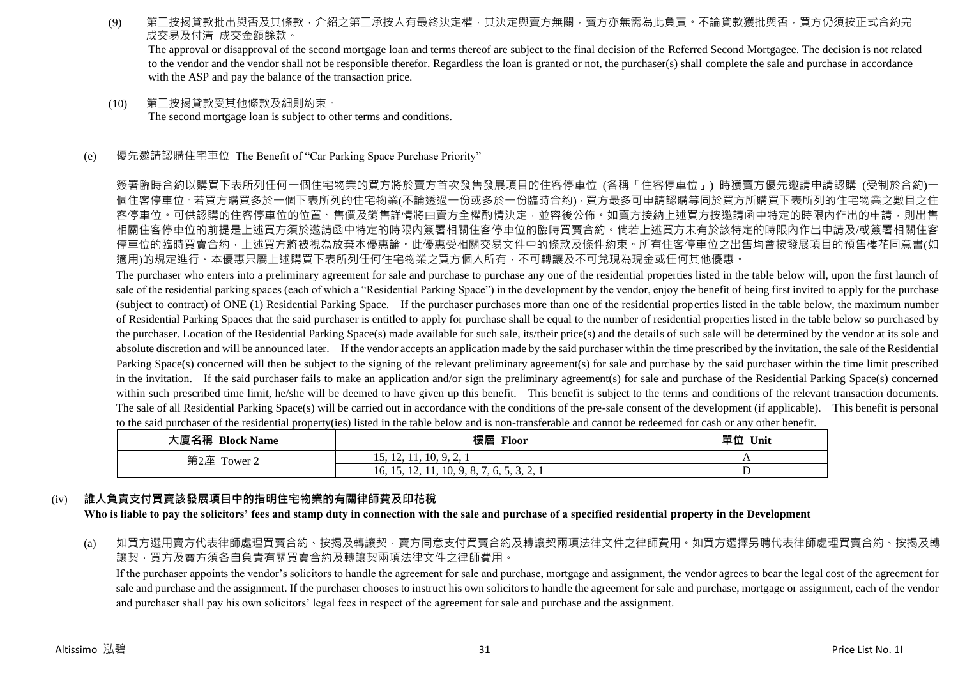(9) 第二按揭貸款批出與否及其條款,介紹之第二承按人有最終決定權,其決定與賣方無關,賣方亦無需為此負責。不論貸款獲批與否,買方仍須按正式合約完 成交易及付清 成交金額餘款。

The approval or disapproval of the second mortgage loan and terms thereof are subject to the final decision of the Referred Second Mortgagee. The decision is not related to the vendor and the vendor shall not be responsible therefor. Regardless the loan is granted or not, the purchaser(s) shall complete the sale and purchase in accordance with the ASP and pay the balance of the transaction price.

- (10) 第二按揭貸款受其他條款及細則約束。 The second mortgage loan is subject to other terms and conditions.
- (e) 優先邀請認購住宅車位 The Benefit of "Car Parking Space Purchase Priority"

簽署臨時合約以購買下表所列任何一個住宅物業的買方將於賣方首次發售發展項目的住客停車位 (各稱「住客停車位」) 時獲賣方優先邀請申請認購 (受制於合約)一 個住客停車位。若買方購買多於一個下表所列的住宅物業(不論透過一份或多於一份臨時合約),買方最多可申請認購等同於買方所購買下表所列的住宅物業之數目之住 客停車位。可供認購的住客停車位的位置、售價及銷售詳情將由賣方全權酌情決定,並容後公佈。如賣方接納上述買方按邀請函中特定的時限內作出的申請,則出售 相關住客停車位的前提是上述買方須於邀請函中特定的時限內簽署相關住客停車位的臨時買賣合約。倘若上述買方未有於該特定的時限內作出申請及/或簽署相關住客 停車位的臨時買賣合約,上述買方將被視為放棄本優惠論。此優惠受相關交易文件中的條款及條件約束。所有住客停車位之出售均會按發展項目的預售樓花同意書(如 適用)的規定進行。本優惠只屬上述購買下表所列任何住宅物業之買方個人所有,不可轉讓及不可兌現為現金或任何其他優惠。

The purchaser who enters into a preliminary agreement for sale and purchase to purchase any one of the residential properties listed in the table below will, upon the first launch of sale of the residential parking spaces (each of which a "Residential Parking Space") in the development by the vendor, enjoy the benefit of being first invited to apply for the purchase (subject to contract) of ONE (1) Residential Parking Space. If the purchaser purchases more than one of the residential properties listed in the table below, the maximum number of Residential Parking Spaces that the said purchaser is entitled to apply for purchase shall be equal to the number of residential properties listed in the table below so purchased by the purchaser. Location of the Residential Parking Space(s) made available for such sale, its/their price(s) and the details of such sale will be determined by the vendor at its sole and absolute discretion and will be announced later. If the vendor accepts an application made by the said purchaser within the time prescribed by the invitation, the sale of the Residential Parking Space(s) concerned will then be subject to the signing of the relevant preliminary agreement(s) for sale and purchase by the said purchaser within the time limit prescribed in the invitation. If the said purchaser fails to make an application and/or sign the preliminary agreement(s) for sale and purchase of the Residential Parking Space(s) concerned within such prescribed time limit, he/she will be deemed to have given up this benefit. This benefit is subject to the terms and conditions of the relevant transaction documents. The sale of all Residential Parking Space(s) will be carried out in accordance with the conditions of the pre-sale consent of the development (if applicable). This benefit is personal to the said purchaser of the residential property(ies) listed in the table below and is non-transferable and cannot be redeemed for cash or any other benefit.

| 大廈名稱 Block Name | 樓層 Floor                                   | 單位<br>Unit |
|-----------------|--------------------------------------------|------------|
| 第2座<br>Tower 2  | 15, 12, 11, 10, 9, 2,                      |            |
|                 | 16, 15, 12, 11, 10, 9, 8, 7, 6, 5, 3, 2, 1 |            |

## (iv) **誰人負責支付買賣該發展項目中的指明住宅物業的有關律師費及印花稅**

**Who is liable to pay the solicitors' fees and stamp duty in connection with the sale and purchase of a specified residential property in the Development**

(a) 如買方選用賣方代表律師處理買賣合約、按揭及轉讓契,賣方同意支付買賣合約及轉讓契兩項法律文件之律師費用。如買方選擇另聘代表律師處理買賣合約、按揭及轉 讓契,買方及賣方須各自負責有關買賣合約及轉讓契兩項法律文件之律師費用。

If the purchaser appoints the vendor's solicitors to handle the agreement for sale and purchase, mortgage and assignment, the vendor agrees to bear the legal cost of the agreement for sale and purchase and the assignment. If the purchaser chooses to instruct his own solicitors to handle the agreement for sale and purchase, mortgage or assignment, each of the vendor and purchaser shall pay his own solicitors' legal fees in respect of the agreement for sale and purchase and the assignment.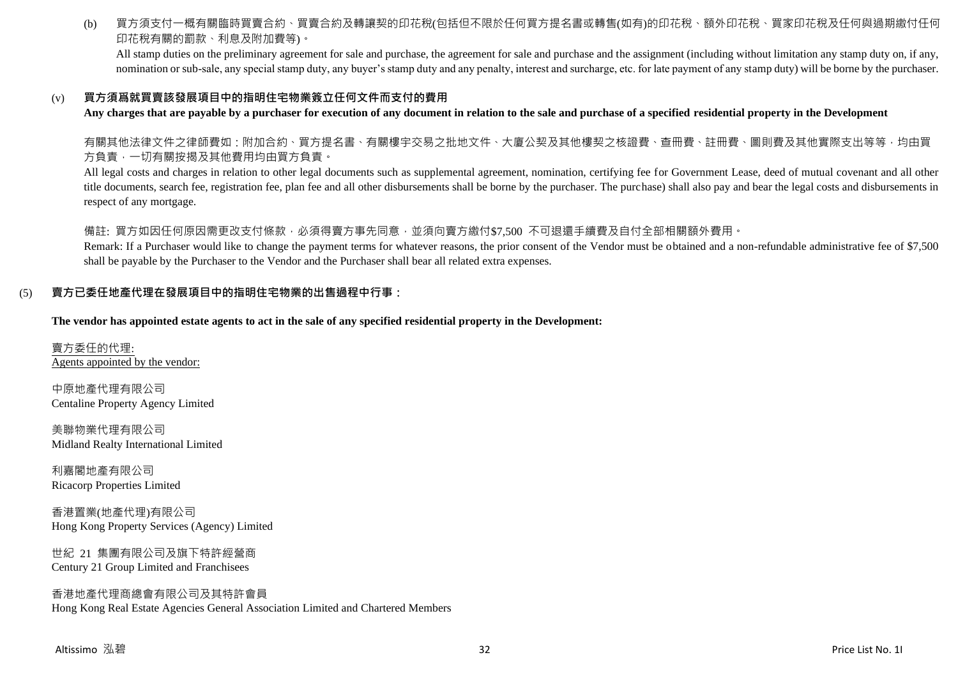(b) 買方須支付一概有關臨時買賣合約、買賣合約及轉讓契的印花稅(包括但不限於任何買方提名書或轉售(如有)的印花稅、額外印花稅、買家印花稅及任何與過期繳付任何 印花稅有關的罰款、利息及附加費等)。

All stamp duties on the preliminary agreement for sale and purchase, the agreement for sale and purchase and the assignment (including without limitation any stamp duty on, if any, nomination or sub-sale, any special stamp duty, any buyer's stamp duty and any penalty, interest and surcharge, etc. for late payment of any stamp duty) will be borne by the purchaser.

## (v) **買方須爲就買賣該發展項目中的指明住宅物業簽立任何文件而支付的費用**

**Any charges that are payable by a purchaser for execution of any document in relation to the sale and purchase of a specified residential property in the Development**

有關其他法律文件之律師費如:附加合約、買方提名書、有關樓宇交易之批地文件、大廈公契及其他樓契之核證費、查冊費、註冊費、圖則費及其他實際支出等等,均由買 方負責,一切有關按揭及其他費用均由買方負責。

All legal costs and charges in relation to other legal documents such as supplemental agreement, nomination, certifying fee for Government Lease, deed of mutual covenant and all other title documents, search fee, registration fee, plan fee and all other disbursements shall be borne by the purchaser. The purchase) shall also pay and bear the legal costs and disbursements in respect of any mortgage.

備註: 買方如因任何原因需更改支付條款,必須得賣方事先同意,並須向賣方繳付\$7,500 不可退還手續費及自付全部相關額外費用。

Remark: If a Purchaser would like to change the payment terms for whatever reasons, the prior consent of the Vendor must be obtained and a non-refundable administrative fee of \$7,500 shall be payable by the Purchaser to the Vendor and the Purchaser shall bear all related extra expenses.

## (5) **賣方已委任地產代理在發展項目中的指明住宅物業的出售過程中行事:**

**The vendor has appointed estate agents to act in the sale of any specified residential property in the Development:**

賣方委任的代理: Agents appointed by the vendor:

中原地產代理有限公司 Centaline Property Agency Limited

美聯物業代理有限公司 Midland Realty International Limited

利嘉閣地產有限公司 Ricacorp Properties Limited

香港置業(地產代理)有限公司 Hong Kong Property Services (Agency) Limited

世紀 21 集團有限公司及旗下特許經營商 Century 21 Group Limited and Franchisees

香港地產代理商總會有限公司及其特許會員 Hong Kong Real Estate Agencies General Association Limited and Chartered Members